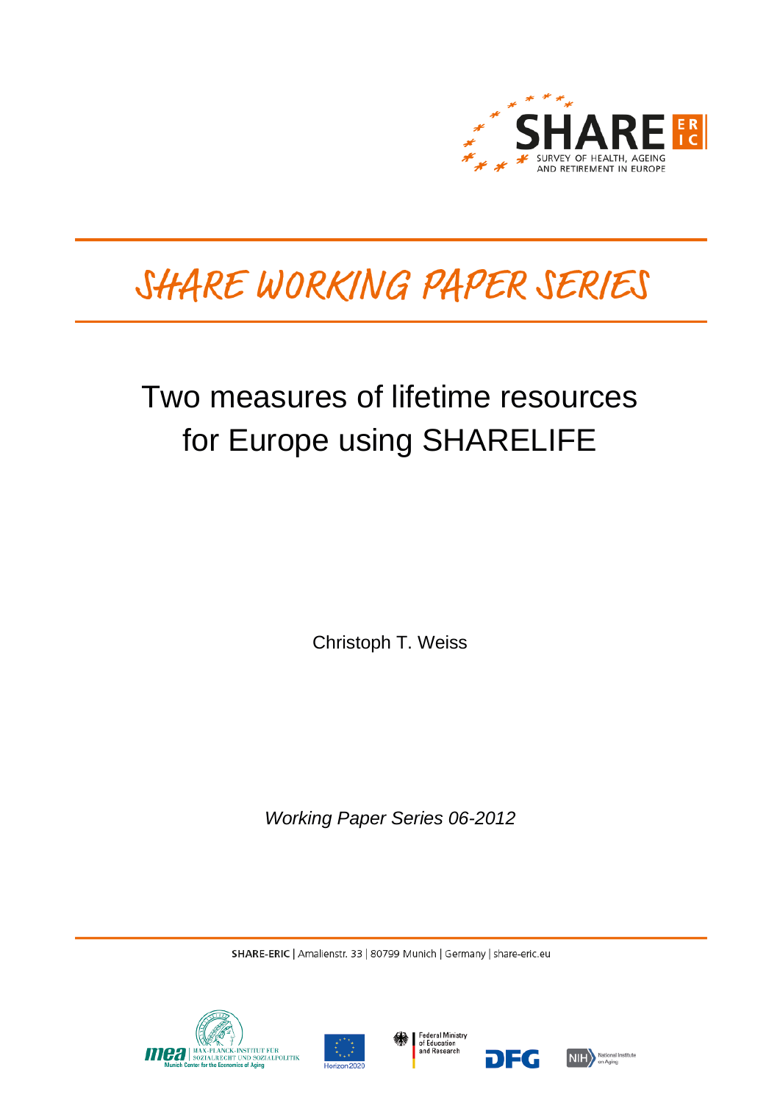

# SHARE WORKING PAPER SERIES

## Two measures of lifetime resources for Europe using SHARELIFE

Christoph T. Weiss

*Working Paper Series 06-2012*

SHARE-ERIC | Amalienstr. 33 | 80799 Munich | Germany | share-eric.eu







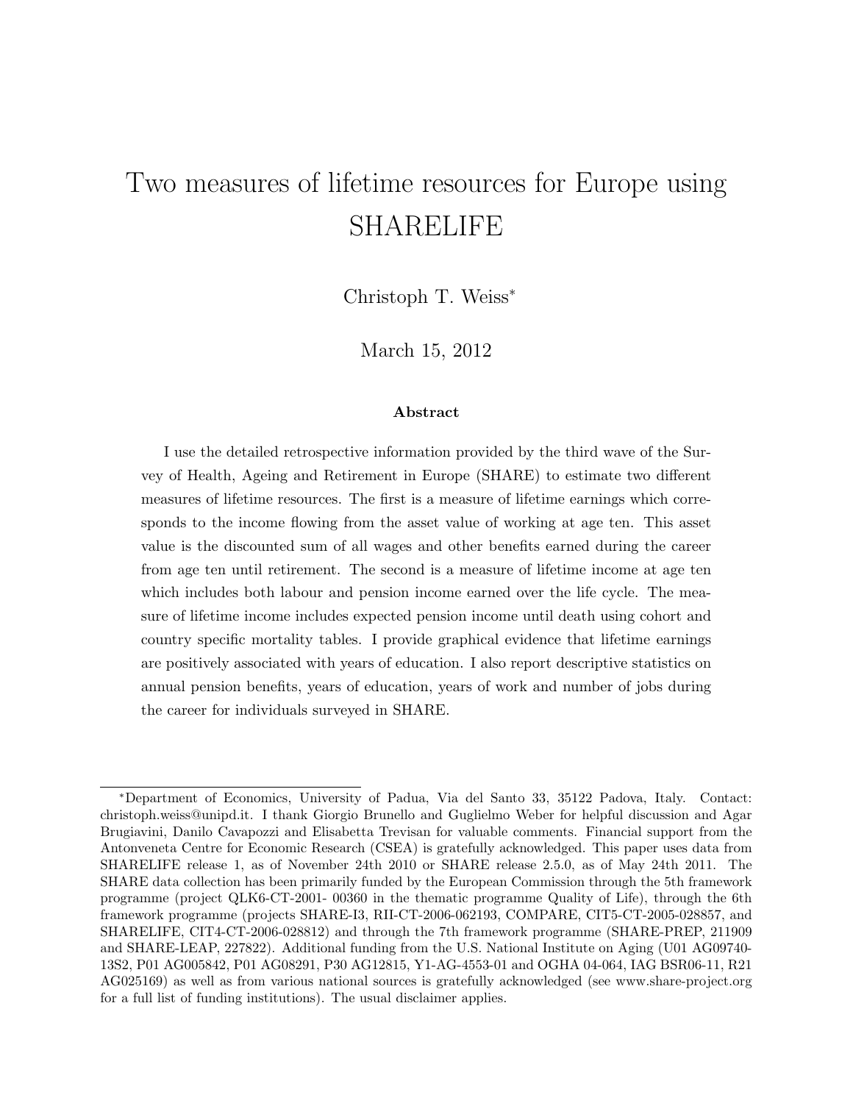## Two measures of lifetime resources for Europe using SHARELIFE

Christoph T. Weiss<sup>∗</sup>

March 15, 2012

#### Abstract

I use the detailed retrospective information provided by the third wave of the Survey of Health, Ageing and Retirement in Europe (SHARE) to estimate two different measures of lifetime resources. The first is a measure of lifetime earnings which corresponds to the income flowing from the asset value of working at age ten. This asset value is the discounted sum of all wages and other benefits earned during the career from age ten until retirement. The second is a measure of lifetime income at age ten which includes both labour and pension income earned over the life cycle. The measure of lifetime income includes expected pension income until death using cohort and country specific mortality tables. I provide graphical evidence that lifetime earnings are positively associated with years of education. I also report descriptive statistics on annual pension benefits, years of education, years of work and number of jobs during the career for individuals surveyed in SHARE.

<sup>∗</sup>Department of Economics, University of Padua, Via del Santo 33, 35122 Padova, Italy. Contact: [christoph.weiss@unipd.it.](mailto:christoph.weiss@unipd.it) I thank Giorgio Brunello and Guglielmo Weber for helpful discussion and Agar Brugiavini, Danilo Cavapozzi and Elisabetta Trevisan for valuable comments. Financial support from the Antonveneta Centre for Economic Research (CSEA) is gratefully acknowledged. This paper uses data from SHARELIFE release 1, as of November 24th 2010 or SHARE release 2.5.0, as of May 24th 2011. The SHARE data collection has been primarily funded by the European Commission through the 5th framework programme (project QLK6-CT-2001- 00360 in the thematic programme Quality of Life), through the 6th framework programme (projects SHARE-I3, RII-CT-2006-062193, COMPARE, CIT5-CT-2005-028857, and SHARELIFE, CIT4-CT-2006-028812) and through the 7th framework programme (SHARE-PREP, 211909 and SHARE-LEAP, 227822). Additional funding from the U.S. National Institute on Aging (U01 AG09740- 13S2, P01 AG005842, P01 AG08291, P30 AG12815, Y1-AG-4553-01 and OGHA 04-064, IAG BSR06-11, R21 AG025169) as well as from various national sources is gratefully acknowledged (see [www.share-project.org](http://www.share-project.org) for a full list of funding institutions). The usual disclaimer applies.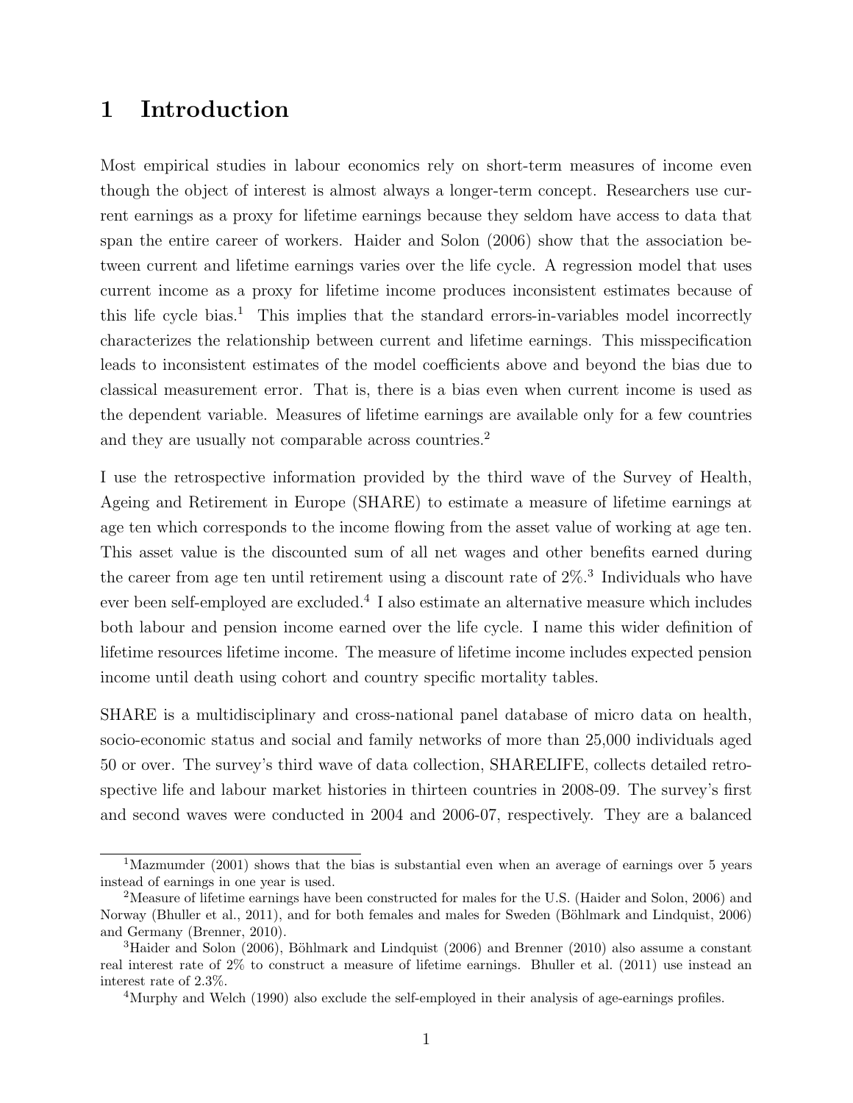## 1 Introduction

Most empirical studies in labour economics rely on short-term measures of income even though the object of interest is almost always a longer-term concept. Researchers use current earnings as a proxy for lifetime earnings because they seldom have access to data that span the entire career of workers. [Haider and Solon](#page-32-0) [\(2006\)](#page-32-0) show that the association between current and lifetime earnings varies over the life cycle. A regression model that uses current income as a proxy for lifetime income produces inconsistent estimates because of this life cycle bias.<sup>[1](#page-2-0)</sup> This implies that the standard errors-in-variables model incorrectly characterizes the relationship between current and lifetime earnings. This misspecification leads to inconsistent estimates of the model coefficients above and beyond the bias due to classical measurement error. That is, there is a bias even when current income is used as the dependent variable. Measures of lifetime earnings are available only for a few countries and they are usually not comparable across countries.<sup>[2](#page-2-1)</sup>

I use the retrospective information provided by the third wave of the Survey of Health, Ageing and Retirement in Europe (SHARE) to estimate a measure of lifetime earnings at age ten which corresponds to the income flowing from the asset value of working at age ten. This asset value is the discounted sum of all net wages and other benefits earned during the career from age ten until retirement using a discount rate of  $2\%$ <sup>[3](#page-2-2)</sup>. Individuals who have ever been self-employed are excluded.<sup>[4](#page-2-3)</sup> I also estimate an alternative measure which includes both labour and pension income earned over the life cycle. I name this wider definition of lifetime resources lifetime income. The measure of lifetime income includes expected pension income until death using cohort and country specific mortality tables.

SHARE is a multidisciplinary and cross-national panel database of micro data on health, socio-economic status and social and family networks of more than 25,000 individuals aged 50 or over. The survey's third wave of data collection, SHARELIFE, collects detailed retrospective life and labour market histories in thirteen countries in 2008-09. The survey's first and second waves were conducted in 2004 and 2006-07, respectively. They are a balanced

<span id="page-2-0"></span><sup>&</sup>lt;sup>1</sup>[Mazmumder](#page-33-0) [\(2001\)](#page-33-0) shows that the bias is substantial even when an average of earnings over 5 years instead of earnings in one year is used.

<span id="page-2-1"></span><sup>2</sup>Measure of lifetime earnings have been constructed for males for the U.S. [\(Haider and Solon,](#page-32-0) [2006\)](#page-32-0) and Norway [\(Bhuller et al.,](#page-32-1) [2011\)](#page-32-1), and for both females and males for Sweden (Böhlmark and Lindquist, [2006\)](#page-32-2) and Germany [\(Brenner,](#page-32-3) [2010\)](#page-32-3).

<span id="page-2-2"></span> $3H$ aider and Solon [\(2006\)](#page-32-2), Böhlmark and Lindquist (2006) and [Brenner](#page-32-3) [\(2010\)](#page-32-3) also assume a constant real interest rate of 2% to construct a measure of lifetime earnings. [Bhuller et al.](#page-32-1) [\(2011\)](#page-32-1) use instead an interest rate of 2.3%.

<span id="page-2-3"></span><sup>&</sup>lt;sup>4</sup>[Murphy and Welch](#page-33-1) [\(1990\)](#page-33-1) also exclude the self-employed in their analysis of age-earnings profiles.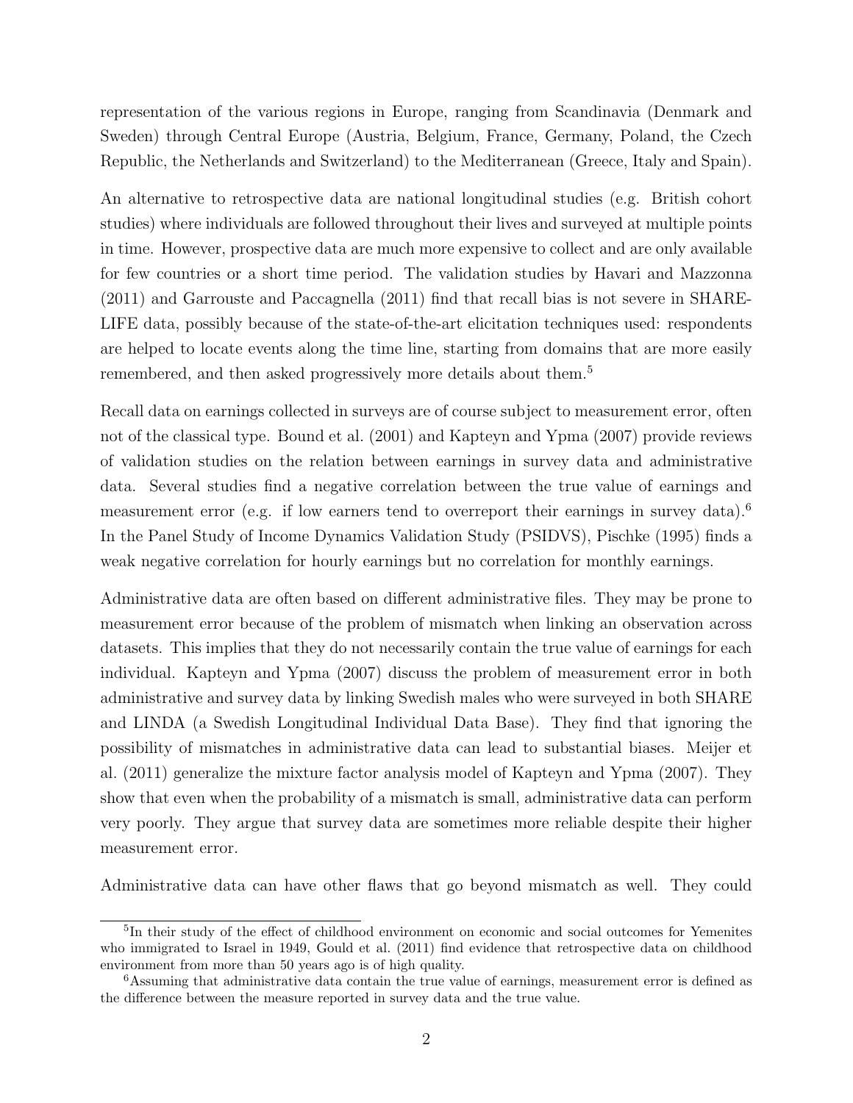representation of the various regions in Europe, ranging from Scandinavia (Denmark and Sweden) through Central Europe (Austria, Belgium, France, Germany, Poland, the Czech Republic, the Netherlands and Switzerland) to the Mediterranean (Greece, Italy and Spain).

An alternative to retrospective data are national longitudinal studies (e.g. British cohort studies) where individuals are followed throughout their lives and surveyed at multiple points in time. However, prospective data are much more expensive to collect and are only available for few countries or a short time period. The validation studies by [Havari and Mazzonna](#page-32-4) [\(2011\)](#page-32-4) and [Garrouste and Paccagnella](#page-32-5) [\(2011\)](#page-32-5) find that recall bias is not severe in SHARE-LIFE data, possibly because of the state-of-the-art elicitation techniques used: respondents are helped to locate events along the time line, starting from domains that are more easily remembered, and then asked progressively more details about them.<sup>[5](#page-3-0)</sup>

Recall data on earnings collected in surveys are of course subject to measurement error, often not of the classical type. [Bound et al.](#page-32-6) [\(2001\)](#page-32-6) and [Kapteyn and Ypma](#page-33-2) [\(2007\)](#page-33-2) provide reviews of validation studies on the relation between earnings in survey data and administrative data. Several studies find a negative correlation between the true value of earnings and measurement error (e.g. if low earners tend to overreport their earnings in survey data).<sup>[6](#page-3-1)</sup> In the Panel Study of Income Dynamics Validation Study (PSIDVS), [Pischke](#page-33-3) [\(1995\)](#page-33-3) finds a weak negative correlation for hourly earnings but no correlation for monthly earnings.

Administrative data are often based on different administrative files. They may be prone to measurement error because of the problem of mismatch when linking an observation across datasets. This implies that they do not necessarily contain the true value of earnings for each individual. [Kapteyn and Ypma](#page-33-2) [\(2007\)](#page-33-2) discuss the problem of measurement error in both administrative and survey data by linking Swedish males who were surveyed in both SHARE and LINDA (a Swedish Longitudinal Individual Data Base). They find that ignoring the possibility of mismatches in administrative data can lead to substantial biases. [Meijer et](#page-33-4) [al.](#page-33-4) [\(2011\)](#page-33-4) generalize the mixture factor analysis model of [Kapteyn and Ypma](#page-33-2) [\(2007\)](#page-33-2). They show that even when the probability of a mismatch is small, administrative data can perform very poorly. They argue that survey data are sometimes more reliable despite their higher measurement error.

Administrative data can have other flaws that go beyond mismatch as well. They could

<span id="page-3-0"></span><sup>5</sup> In their study of the effect of childhood environment on economic and social outcomes for Yemenites who immigrated to Israel in 1949, [Gould et al.](#page-32-7) [\(2011\)](#page-32-7) find evidence that retrospective data on childhood environment from more than 50 years ago is of high quality.

<span id="page-3-1"></span><sup>6</sup>Assuming that administrative data contain the true value of earnings, measurement error is defined as the difference between the measure reported in survey data and the true value.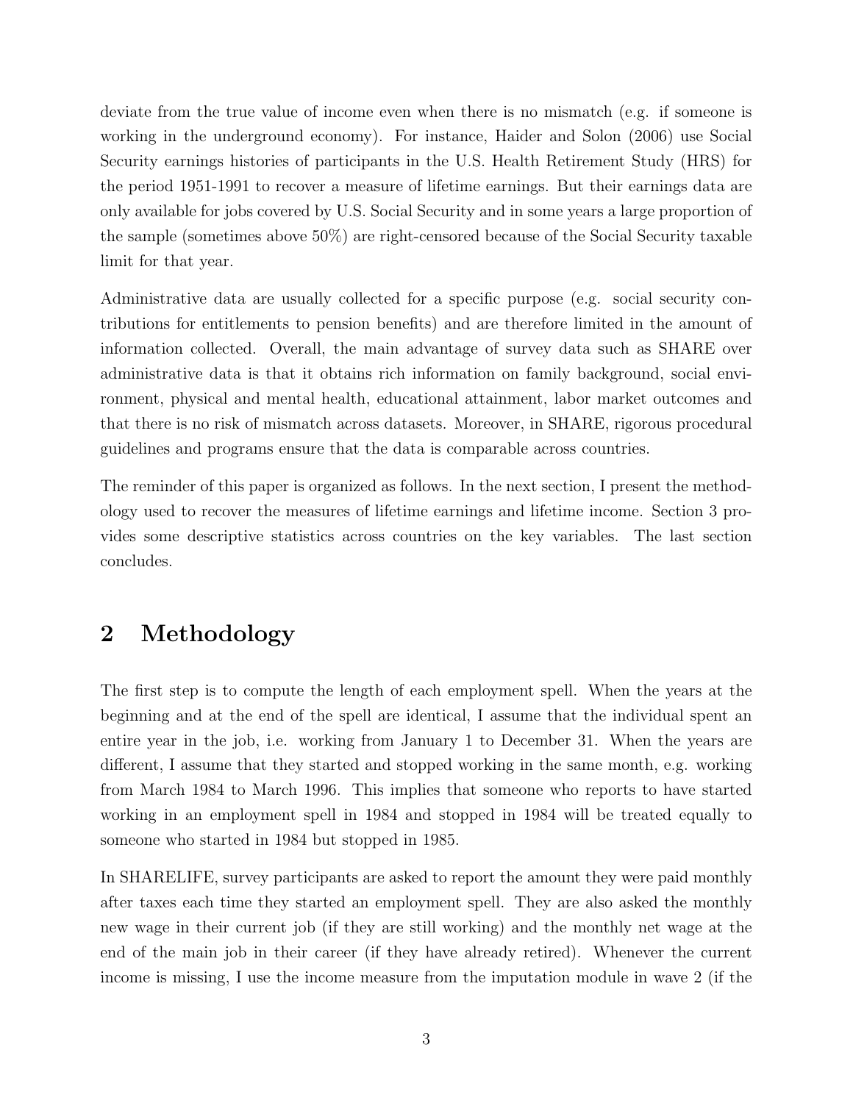deviate from the true value of income even when there is no mismatch (e.g. if someone is working in the underground economy). For instance, [Haider and Solon](#page-32-0) [\(2006\)](#page-32-0) use Social Security earnings histories of participants in the U.S. Health Retirement Study (HRS) for the period 1951-1991 to recover a measure of lifetime earnings. But their earnings data are only available for jobs covered by U.S. Social Security and in some years a large proportion of the sample (sometimes above 50%) are right-censored because of the Social Security taxable limit for that year.

Administrative data are usually collected for a specific purpose (e.g. social security contributions for entitlements to pension benefits) and are therefore limited in the amount of information collected. Overall, the main advantage of survey data such as SHARE over administrative data is that it obtains rich information on family background, social environment, physical and mental health, educational attainment, labor market outcomes and that there is no risk of mismatch across datasets. Moreover, in SHARE, rigorous procedural guidelines and programs ensure that the data is comparable across countries.

The reminder of this paper is organized as follows. In the next section, I present the methodology used to recover the measures of lifetime earnings and lifetime income. Section 3 provides some descriptive statistics across countries on the key variables. The last section concludes.

## 2 Methodology

The first step is to compute the length of each employment spell. When the years at the beginning and at the end of the spell are identical, I assume that the individual spent an entire year in the job, i.e. working from January 1 to December 31. When the years are different, I assume that they started and stopped working in the same month, e.g. working from March 1984 to March 1996. This implies that someone who reports to have started working in an employment spell in 1984 and stopped in 1984 will be treated equally to someone who started in 1984 but stopped in 1985.

In SHARELIFE, survey participants are asked to report the amount they were paid monthly after taxes each time they started an employment spell. They are also asked the monthly new wage in their current job (if they are still working) and the monthly net wage at the end of the main job in their career (if they have already retired). Whenever the current income is missing, I use the income measure from the imputation module in wave 2 (if the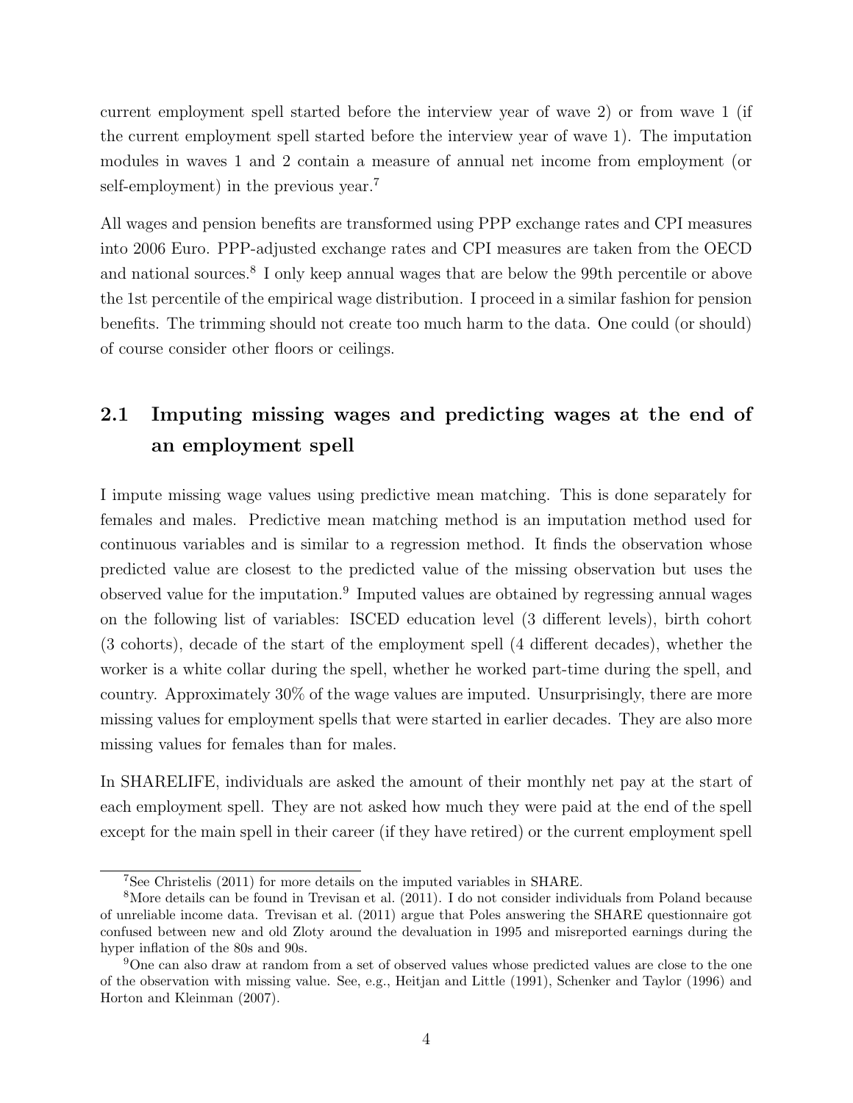current employment spell started before the interview year of wave 2) or from wave 1 (if the current employment spell started before the interview year of wave 1). The imputation modules in waves 1 and 2 contain a measure of annual net income from employment (or self-employment) in the previous year.<sup>[7](#page-5-0)</sup>

All wages and pension benefits are transformed using PPP exchange rates and CPI measures into 2006 Euro. PPP-adjusted exchange rates and CPI measures are taken from the OECD and national sources.<sup>[8](#page-5-1)</sup> I only keep annual wages that are below the 99th percentile or above the 1st percentile of the empirical wage distribution. I proceed in a similar fashion for pension benefits. The trimming should not create too much harm to the data. One could (or should) of course consider other floors or ceilings.

## 2.1 Imputing missing wages and predicting wages at the end of an employment spell

I impute missing wage values using predictive mean matching. This is done separately for females and males. Predictive mean matching method is an imputation method used for continuous variables and is similar to a regression method. It finds the observation whose predicted value are closest to the predicted value of the missing observation but uses the observed value for the imputation.<sup>[9](#page-5-2)</sup> Imputed values are obtained by regressing annual wages on the following list of variables: ISCED education level (3 different levels), birth cohort (3 cohorts), decade of the start of the employment spell (4 different decades), whether the worker is a white collar during the spell, whether he worked part-time during the spell, and country. Approximately 30% of the wage values are imputed. Unsurprisingly, there are more missing values for employment spells that were started in earlier decades. They are also more missing values for females than for males.

In SHARELIFE, individuals are asked the amount of their monthly net pay at the start of each employment spell. They are not asked how much they were paid at the end of the spell except for the main spell in their career (if they have retired) or the current employment spell

<span id="page-5-1"></span><span id="page-5-0"></span><sup>7</sup>See [Christelis](#page-32-8) [\(2011\)](#page-32-8) for more details on the imputed variables in SHARE.

<sup>8</sup>More details can be found in [Trevisan et al.](#page-33-5) [\(2011\)](#page-33-5). I do not consider individuals from Poland because of unreliable income data. [Trevisan et al.](#page-33-5) [\(2011\)](#page-33-5) argue that Poles answering the SHARE questionnaire got confused between new and old Zloty around the devaluation in 1995 and misreported earnings during the hyper inflation of the 80s and 90s.

<span id="page-5-2"></span><sup>9</sup>One can also draw at random from a set of observed values whose predicted values are close to the one of the observation with missing value. See, e.g., [Heitjan and Little](#page-33-6) [\(1991\)](#page-33-6), [Schenker and Taylor](#page-33-7) [\(1996\)](#page-33-7) and [Horton and Kleinman](#page-33-8) [\(2007\)](#page-33-8).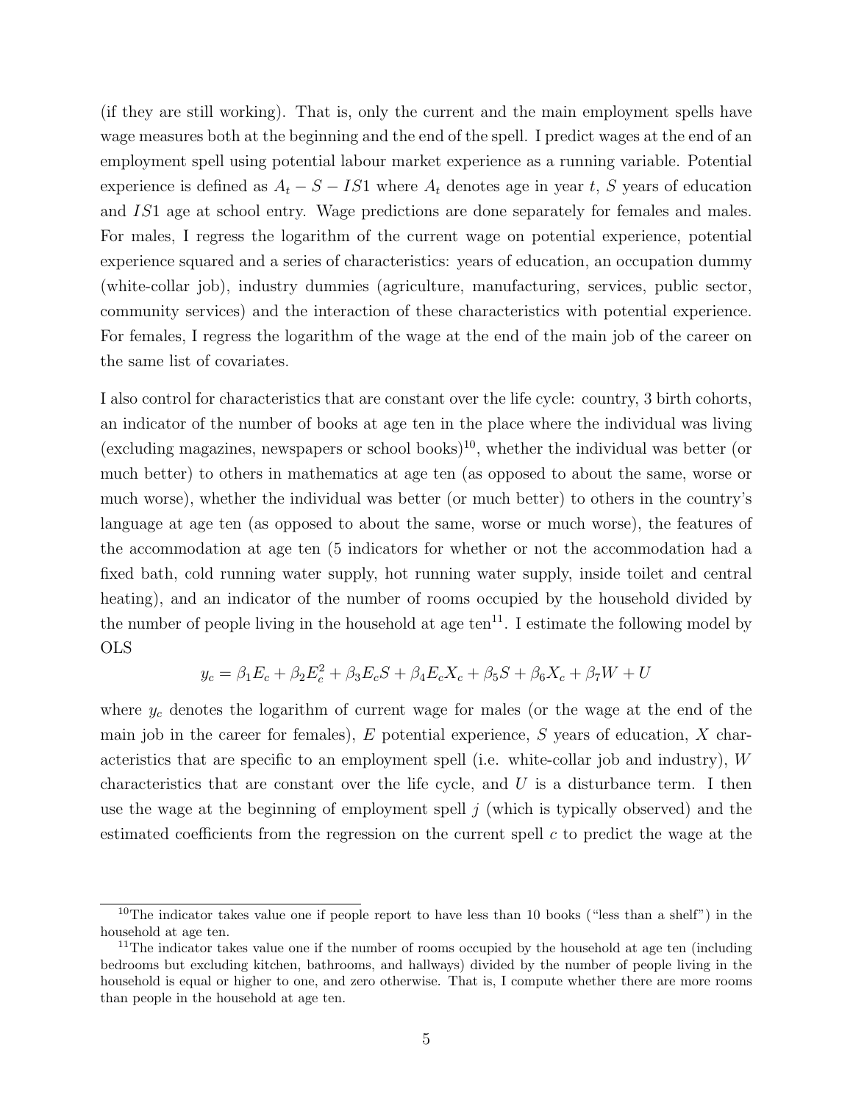(if they are still working). That is, only the current and the main employment spells have wage measures both at the beginning and the end of the spell. I predict wages at the end of an employment spell using potential labour market experience as a running variable. Potential experience is defined as  $A_t - S - IS1$  where  $A_t$  denotes age in year t, S years of education and IS1 age at school entry. Wage predictions are done separately for females and males. For males, I regress the logarithm of the current wage on potential experience, potential experience squared and a series of characteristics: years of education, an occupation dummy (white-collar job), industry dummies (agriculture, manufacturing, services, public sector, community services) and the interaction of these characteristics with potential experience. For females, I regress the logarithm of the wage at the end of the main job of the career on the same list of covariates.

I also control for characteristics that are constant over the life cycle: country, 3 birth cohorts, an indicator of the number of books at age ten in the place where the individual was living (excluding magazines, newspapers or school books)<sup>[10](#page-6-0)</sup>, whether the individual was better (or much better) to others in mathematics at age ten (as opposed to about the same, worse or much worse), whether the individual was better (or much better) to others in the country's language at age ten (as opposed to about the same, worse or much worse), the features of the accommodation at age ten (5 indicators for whether or not the accommodation had a fixed bath, cold running water supply, hot running water supply, inside toilet and central heating), and an indicator of the number of rooms occupied by the household divided by the number of people living in the household at age  $ten^{11}$  $ten^{11}$  $ten^{11}$ . I estimate the following model by OLS

$$
y_c = \beta_1 E_c + \beta_2 E_c^2 + \beta_3 E_c S + \beta_4 E_c X_c + \beta_5 S + \beta_6 X_c + \beta_7 W + U
$$

where  $y_c$  denotes the logarithm of current wage for males (or the wage at the end of the main job in the career for females),  $E$  potential experience,  $S$  years of education,  $X$  characteristics that are specific to an employment spell (i.e. white-collar job and industry), W characteristics that are constant over the life cycle, and  $U$  is a disturbance term. I then use the wage at the beginning of employment spell  $j$  (which is typically observed) and the estimated coefficients from the regression on the current spell  $c$  to predict the wage at the

<span id="page-6-0"></span><sup>&</sup>lt;sup>10</sup>The indicator takes value one if people report to have less than 10 books ("less than a shelf") in the household at age ten.

<span id="page-6-1"></span><sup>&</sup>lt;sup>11</sup>The indicator takes value one if the number of rooms occupied by the household at age ten (including) bedrooms but excluding kitchen, bathrooms, and hallways) divided by the number of people living in the household is equal or higher to one, and zero otherwise. That is, I compute whether there are more rooms than people in the household at age ten.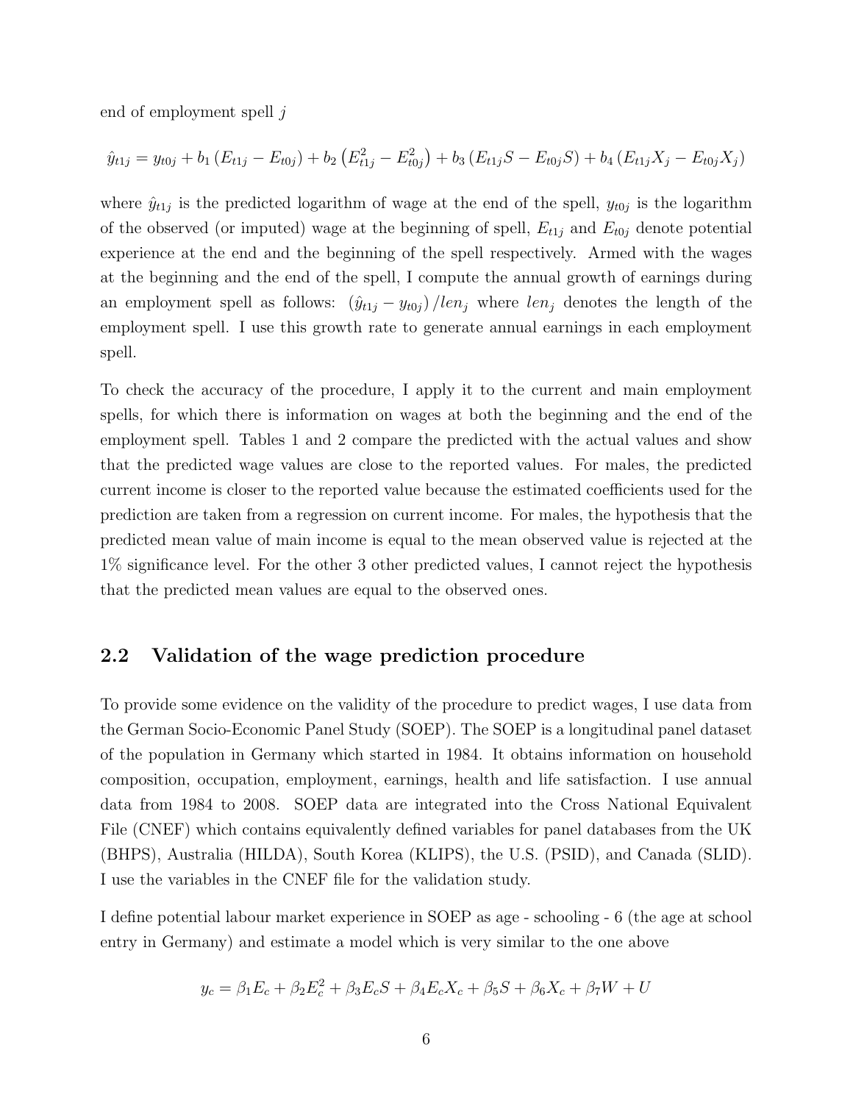end of employment spell j

$$
\hat{y}_{t1j} = y_{t0j} + b_1 (E_{t1j} - E_{t0j}) + b_2 (E_{t1j}^2 - E_{t0j}^2) + b_3 (E_{t1j}S - E_{t0j}S) + b_4 (E_{t1j}X_j - E_{t0j}X_j)
$$

where  $\hat{y}_{t1j}$  is the predicted logarithm of wage at the end of the spell,  $y_{t0j}$  is the logarithm of the observed (or imputed) wage at the beginning of spell,  $E_{t1j}$  and  $E_{t0j}$  denote potential experience at the end and the beginning of the spell respectively. Armed with the wages at the beginning and the end of the spell, I compute the annual growth of earnings during an employment spell as follows:  $(\hat{y}_{t1j} - y_{t0j})/len_j$  where  $len_j$  denotes the length of the employment spell. I use this growth rate to generate annual earnings in each employment spell.

To check the accuracy of the procedure, I apply it to the current and main employment spells, for which there is information on wages at both the beginning and the end of the employment spell. Tables [1](#page-22-0) and [2](#page-22-1) compare the predicted with the actual values and show that the predicted wage values are close to the reported values. For males, the predicted current income is closer to the reported value because the estimated coefficients used for the prediction are taken from a regression on current income. For males, the hypothesis that the predicted mean value of main income is equal to the mean observed value is rejected at the 1% significance level. For the other 3 other predicted values, I cannot reject the hypothesis that the predicted mean values are equal to the observed ones.

#### 2.2 Validation of the wage prediction procedure

To provide some evidence on the validity of the procedure to predict wages, I use data from the German Socio-Economic Panel Study (SOEP). The SOEP is a longitudinal panel dataset of the population in Germany which started in 1984. It obtains information on household composition, occupation, employment, earnings, health and life satisfaction. I use annual data from 1984 to 2008. SOEP data are integrated into the Cross National Equivalent File (CNEF) which contains equivalently defined variables for panel databases from the UK (BHPS), Australia (HILDA), South Korea (KLIPS), the U.S. (PSID), and Canada (SLID). I use the variables in the CNEF file for the validation study.

I define potential labour market experience in SOEP as age - schooling - 6 (the age at school entry in Germany) and estimate a model which is very similar to the one above

$$
y_c = \beta_1 E_c + \beta_2 E_c^2 + \beta_3 E_c S + \beta_4 E_c X_c + \beta_5 S + \beta_6 X_c + \beta_7 W + U
$$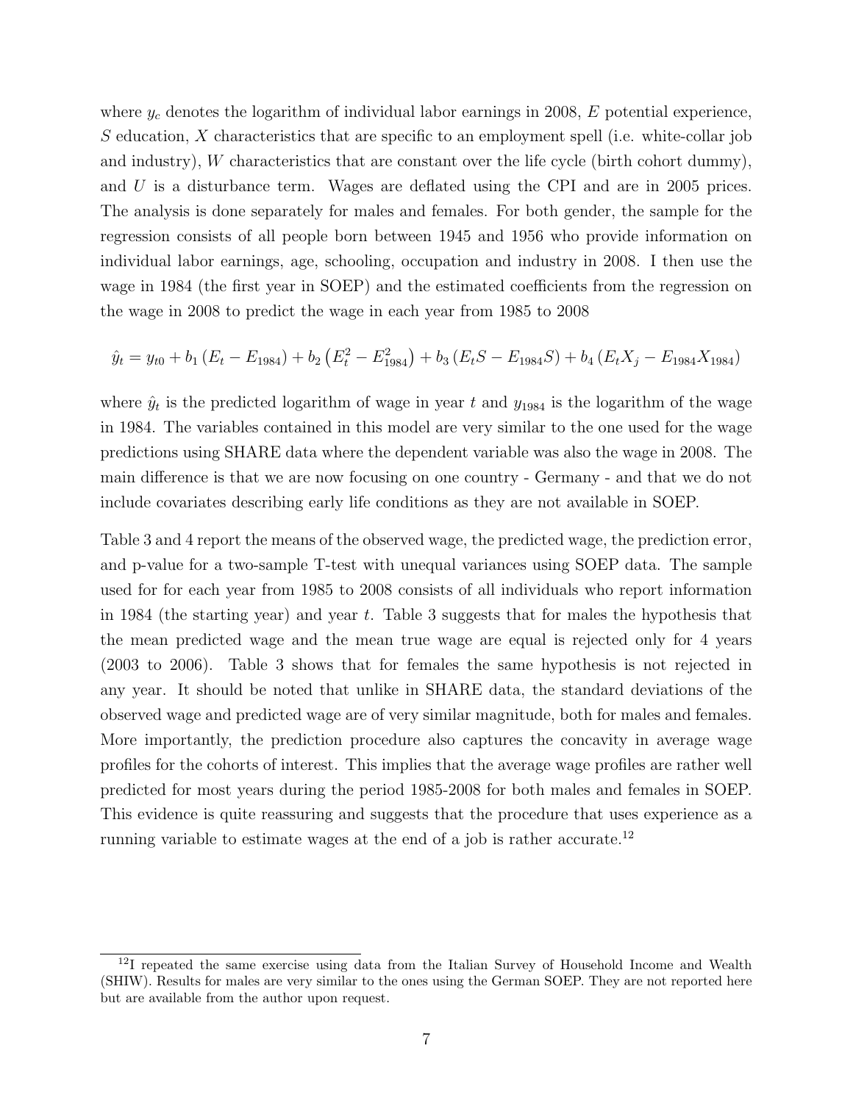where  $y_c$  denotes the logarithm of individual labor earnings in 2008,  $E$  potential experience, S education, X characteristics that are specific to an employment spell (i.e. white-collar job and industry),  $W$  characteristics that are constant over the life cycle (birth cohort dummy), and U is a disturbance term. Wages are deflated using the CPI and are in 2005 prices. The analysis is done separately for males and females. For both gender, the sample for the regression consists of all people born between 1945 and 1956 who provide information on individual labor earnings, age, schooling, occupation and industry in 2008. I then use the wage in 1984 (the first year in SOEP) and the estimated coefficients from the regression on the wage in 2008 to predict the wage in each year from 1985 to 2008

$$
\hat{y}_t = y_{t0} + b_1 (E_t - E_{1984}) + b_2 (E_t^2 - E_{1984}^2) + b_3 (E_t S - E_{1984} S) + b_4 (E_t X_j - E_{1984} X_{1984})
$$

where  $\hat{y}_t$  is the predicted logarithm of wage in year t and  $y_{1984}$  is the logarithm of the wage in 1984. The variables contained in this model are very similar to the one used for the wage predictions using SHARE data where the dependent variable was also the wage in 2008. The main difference is that we are now focusing on one country - Germany - and that we do not include covariates describing early life conditions as they are not available in SOEP.

Table [3](#page-23-0) and [4](#page-24-0) report the means of the observed wage, the predicted wage, the prediction error, and p-value for a two-sample T-test with unequal variances using SOEP data. The sample used for for each year from 1985 to 2008 consists of all individuals who report information in 1984 (the starting year) and year t. Table [3](#page-23-0) suggests that for males the hypothesis that the mean predicted wage and the mean true wage are equal is rejected only for 4 years (2003 to 2006). Table [3](#page-23-0) shows that for females the same hypothesis is not rejected in any year. It should be noted that unlike in SHARE data, the standard deviations of the observed wage and predicted wage are of very similar magnitude, both for males and females. More importantly, the prediction procedure also captures the concavity in average wage profiles for the cohorts of interest. This implies that the average wage profiles are rather well predicted for most years during the period 1985-2008 for both males and females in SOEP. This evidence is quite reassuring and suggests that the procedure that uses experience as a running variable to estimate wages at the end of a job is rather accurate.<sup>[12](#page-8-0)</sup>

<span id="page-8-0"></span> $12I$  repeated the same exercise using data from the Italian Survey of Household Income and Wealth (SHIW). Results for males are very similar to the ones using the German SOEP. They are not reported here but are available from the author upon request.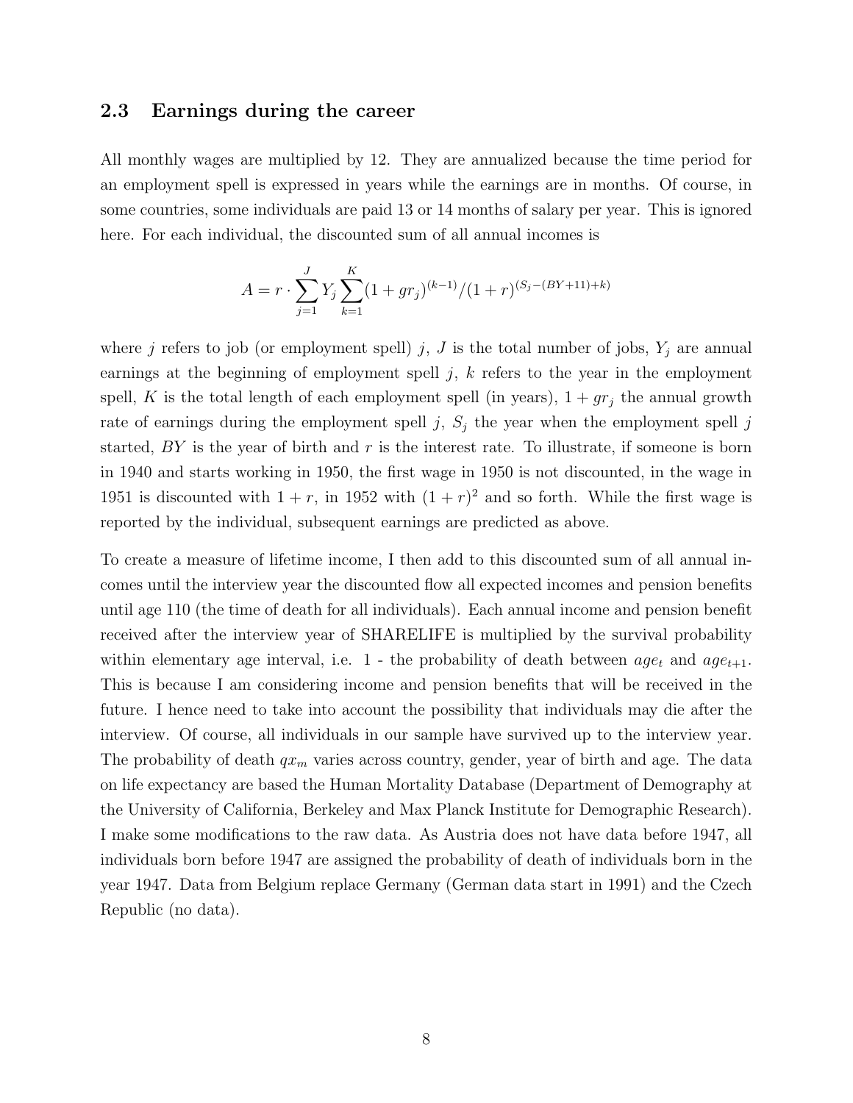#### 2.3 Earnings during the career

All monthly wages are multiplied by 12. They are annualized because the time period for an employment spell is expressed in years while the earnings are in months. Of course, in some countries, some individuals are paid 13 or 14 months of salary per year. This is ignored here. For each individual, the discounted sum of all annual incomes is

$$
A = r \cdot \sum_{j=1}^{J} Y_j \sum_{k=1}^{K} (1 + gr_j)^{(k-1)}/(1+r)^{(S_j - (BY + 11) + k)}
$$

where j refers to job (or employment spell) j, J is the total number of jobs,  $Y_j$  are annual earnings at the beginning of employment spell j, k refers to the year in the employment spell, K is the total length of each employment spell (in years),  $1+gr_j$  the annual growth rate of earnings during the employment spell j,  $S_j$  the year when the employment spell j started,  $BY$  is the year of birth and r is the interest rate. To illustrate, if someone is born in 1940 and starts working in 1950, the first wage in 1950 is not discounted, in the wage in 1951 is discounted with  $1 + r$ , in 1952 with  $(1 + r)^2$  and so forth. While the first wage is reported by the individual, subsequent earnings are predicted as above.

To create a measure of lifetime income, I then add to this discounted sum of all annual incomes until the interview year the discounted flow all expected incomes and pension benefits until age 110 (the time of death for all individuals). Each annual income and pension benefit received after the interview year of SHARELIFE is multiplied by the survival probability within elementary age interval, i.e. 1 - the probability of death between  $age_t$  and  $age_{t+1}$ . This is because I am considering income and pension benefits that will be received in the future. I hence need to take into account the possibility that individuals may die after the interview. Of course, all individuals in our sample have survived up to the interview year. The probability of death  $qx_m$  varies across country, gender, year of birth and age. The data on life expectancy are based the Human Mortality Database (Department of Demography at the University of California, Berkeley and Max Planck Institute for Demographic Research). I make some modifications to the raw data. As Austria does not have data before 1947, all individuals born before 1947 are assigned the probability of death of individuals born in the year 1947. Data from Belgium replace Germany (German data start in 1991) and the Czech Republic (no data).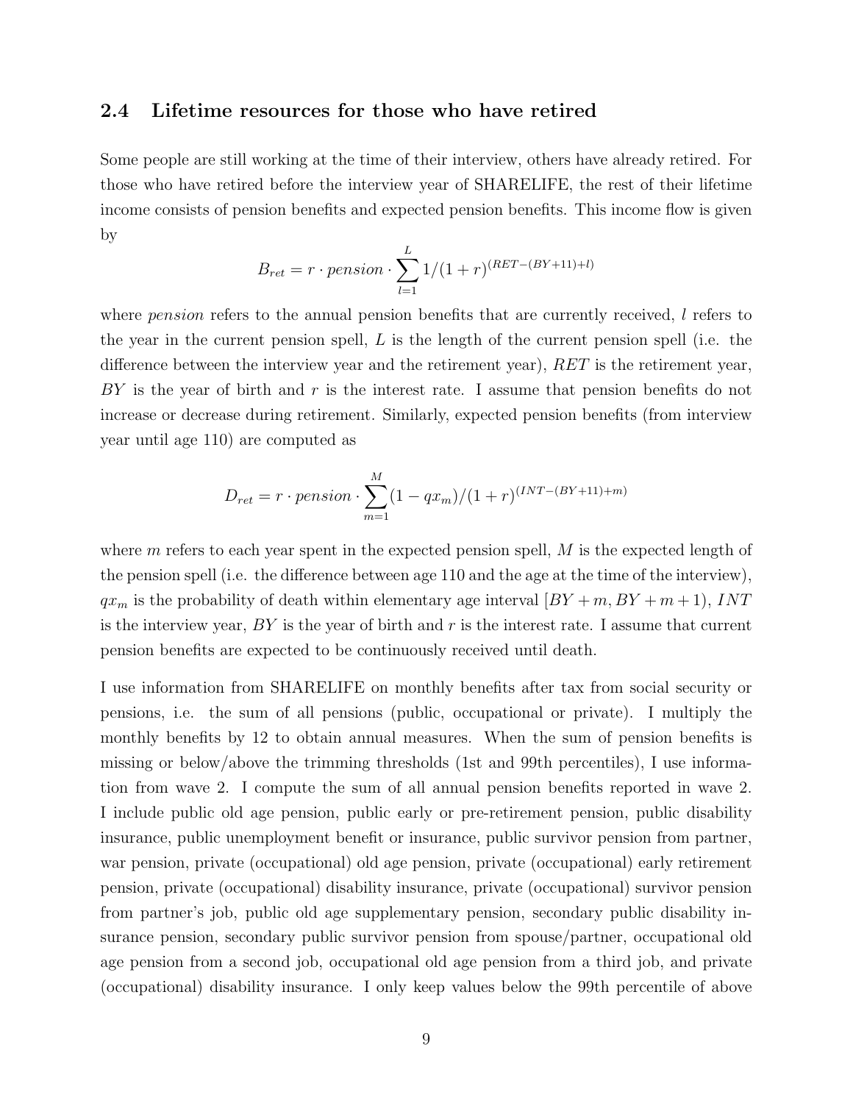#### 2.4 Lifetime resources for those who have retired

Some people are still working at the time of their interview, others have already retired. For those who have retired before the interview year of SHARELIFE, the rest of their lifetime income consists of pension benefits and expected pension benefits. This income flow is given by

$$
B_{ret} = r \cdot pension \cdot \sum_{l=1}^{L} 1/(1+r)^{(RET - (BY + 11) + l)}
$$

where *pension* refers to the annual pension benefits that are currently received, l refers to the year in the current pension spell,  $L$  is the length of the current pension spell (i.e. the difference between the interview year and the retirement year), RET is the retirement year,  $BY$  is the year of birth and r is the interest rate. I assume that pension benefits do not increase or decrease during retirement. Similarly, expected pension benefits (from interview year until age 110) are computed as

$$
D_{ret} = r \cdot pension \cdot \sum_{m=1}^{M} (1 - qx_m)/(1 + r)^{(INT - (BY + 11) + m)}
$$

where  $m$  refers to each year spent in the expected pension spell,  $M$  is the expected length of the pension spell (i.e. the difference between age 110 and the age at the time of the interview),  $qx_m$  is the probability of death within elementary age interval  $[BY + m, BY + m + 1]$ , INT is the interview year,  $BY$  is the year of birth and r is the interest rate. I assume that current pension benefits are expected to be continuously received until death.

I use information from SHARELIFE on monthly benefits after tax from social security or pensions, i.e. the sum of all pensions (public, occupational or private). I multiply the monthly benefits by 12 to obtain annual measures. When the sum of pension benefits is missing or below/above the trimming thresholds (1st and 99th percentiles), I use information from wave 2. I compute the sum of all annual pension benefits reported in wave 2. I include public old age pension, public early or pre-retirement pension, public disability insurance, public unemployment benefit or insurance, public survivor pension from partner, war pension, private (occupational) old age pension, private (occupational) early retirement pension, private (occupational) disability insurance, private (occupational) survivor pension from partner's job, public old age supplementary pension, secondary public disability insurance pension, secondary public survivor pension from spouse/partner, occupational old age pension from a second job, occupational old age pension from a third job, and private (occupational) disability insurance. I only keep values below the 99th percentile of above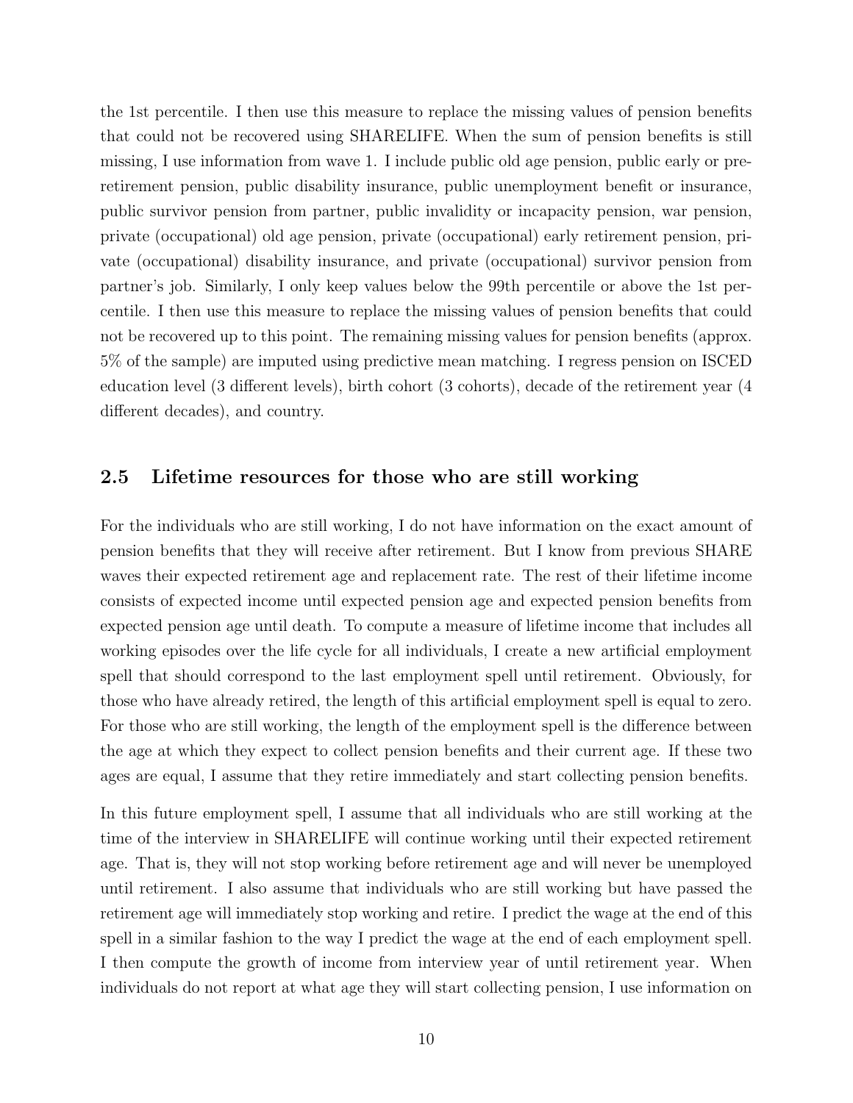the 1st percentile. I then use this measure to replace the missing values of pension benefits that could not be recovered using SHARELIFE. When the sum of pension benefits is still missing, I use information from wave 1. I include public old age pension, public early or preretirement pension, public disability insurance, public unemployment benefit or insurance, public survivor pension from partner, public invalidity or incapacity pension, war pension, private (occupational) old age pension, private (occupational) early retirement pension, private (occupational) disability insurance, and private (occupational) survivor pension from partner's job. Similarly, I only keep values below the 99th percentile or above the 1st percentile. I then use this measure to replace the missing values of pension benefits that could not be recovered up to this point. The remaining missing values for pension benefits (approx. 5% of the sample) are imputed using predictive mean matching. I regress pension on ISCED education level (3 different levels), birth cohort (3 cohorts), decade of the retirement year (4 different decades), and country.

#### 2.5 Lifetime resources for those who are still working

For the individuals who are still working, I do not have information on the exact amount of pension benefits that they will receive after retirement. But I know from previous SHARE waves their expected retirement age and replacement rate. The rest of their lifetime income consists of expected income until expected pension age and expected pension benefits from expected pension age until death. To compute a measure of lifetime income that includes all working episodes over the life cycle for all individuals, I create a new artificial employment spell that should correspond to the last employment spell until retirement. Obviously, for those who have already retired, the length of this artificial employment spell is equal to zero. For those who are still working, the length of the employment spell is the difference between the age at which they expect to collect pension benefits and their current age. If these two ages are equal, I assume that they retire immediately and start collecting pension benefits.

In this future employment spell, I assume that all individuals who are still working at the time of the interview in SHARELIFE will continue working until their expected retirement age. That is, they will not stop working before retirement age and will never be unemployed until retirement. I also assume that individuals who are still working but have passed the retirement age will immediately stop working and retire. I predict the wage at the end of this spell in a similar fashion to the way I predict the wage at the end of each employment spell. I then compute the growth of income from interview year of until retirement year. When individuals do not report at what age they will start collecting pension, I use information on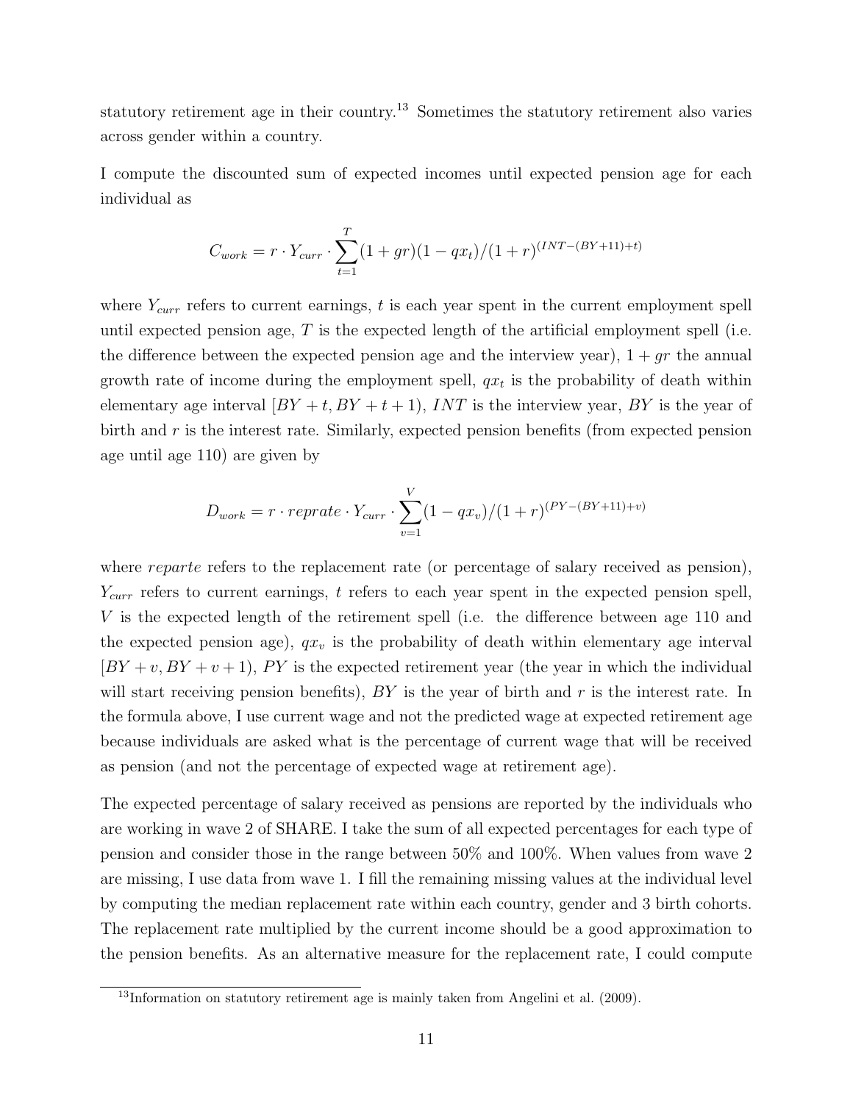statutory retirement age in their country.<sup>[13](#page-12-0)</sup> Sometimes the statutory retirement also varies across gender within a country.

I compute the discounted sum of expected incomes until expected pension age for each individual as

$$
C_{work} = r \cdot Y_{curr} \cdot \sum_{t=1}^{T} (1+gr)(1-qx_t)/(1+r)^{(INT-(BY+11)+t)}
$$

where  $Y_{curr}$  refers to current earnings, t is each year spent in the current employment spell until expected pension age,  $T$  is the expected length of the artificial employment spell (i.e. the difference between the expected pension age and the interview year),  $1 + qr$  the annual growth rate of income during the employment spell,  $qx_t$  is the probability of death within elementary age interval  $BY + t$ ,  $BY + t + 1$ ,  $INT$  is the interview year,  $BY$  is the year of birth and  $r$  is the interest rate. Similarly, expected pension benefits (from expected pension age until age 110) are given by

$$
D_{work} = r \cdot reprate \cdot Y_{curr} \cdot \sum_{v=1}^{V} (1 - qx_v)/(1 + r)^{(PY - (BY + 11) + v)}
$$

where *reparte* refers to the replacement rate (or percentage of salary received as pension),  $Y_{curr}$  refers to current earnings, t refers to each year spent in the expected pension spell, V is the expected length of the retirement spell (i.e. the difference between age 110 and the expected pension age),  $qx_v$  is the probability of death within elementary age interval  $[BY + v, BY + v + 1]$ , PY is the expected retirement year (the year in which the individual will start receiving pension benefits),  $BY$  is the year of birth and r is the interest rate. In the formula above, I use current wage and not the predicted wage at expected retirement age because individuals are asked what is the percentage of current wage that will be received as pension (and not the percentage of expected wage at retirement age).

The expected percentage of salary received as pensions are reported by the individuals who are working in wave 2 of SHARE. I take the sum of all expected percentages for each type of pension and consider those in the range between 50% and 100%. When values from wave 2 are missing, I use data from wave 1. I fill the remaining missing values at the individual level by computing the median replacement rate within each country, gender and 3 birth cohorts. The replacement rate multiplied by the current income should be a good approximation to the pension benefits. As an alternative measure for the replacement rate, I could compute

<span id="page-12-0"></span> $13$ Information on statutory retirement age is mainly taken from [Angelini et al.](#page-32-9) [\(2009\)](#page-32-9).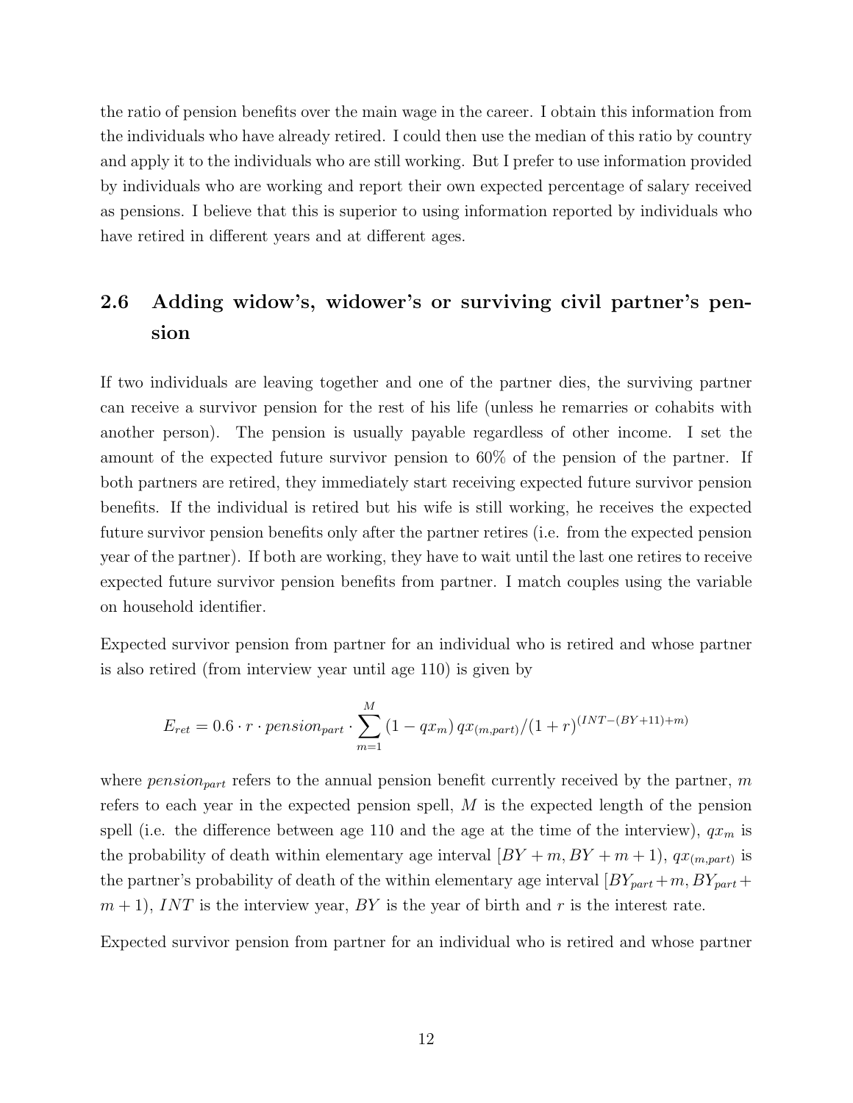the ratio of pension benefits over the main wage in the career. I obtain this information from the individuals who have already retired. I could then use the median of this ratio by country and apply it to the individuals who are still working. But I prefer to use information provided by individuals who are working and report their own expected percentage of salary received as pensions. I believe that this is superior to using information reported by individuals who have retired in different years and at different ages.

## 2.6 Adding widow's, widower's or surviving civil partner's pension

If two individuals are leaving together and one of the partner dies, the surviving partner can receive a survivor pension for the rest of his life (unless he remarries or cohabits with another person). The pension is usually payable regardless of other income. I set the amount of the expected future survivor pension to 60% of the pension of the partner. If both partners are retired, they immediately start receiving expected future survivor pension benefits. If the individual is retired but his wife is still working, he receives the expected future survivor pension benefits only after the partner retires (i.e. from the expected pension year of the partner). If both are working, they have to wait until the last one retires to receive expected future survivor pension benefits from partner. I match couples using the variable on household identifier.

Expected survivor pension from partner for an individual who is retired and whose partner is also retired (from interview year until age 110) is given by

$$
E_{ret} = 0.6 \cdot r \cdot pension_{part} \cdot \sum_{m=1}^{M} (1 - qx_m) \, qx_{(m, part)}/(1 + r)^{(INT - (BY + 11) + m)}
$$

where  $pension_{part}$  refers to the annual pension benefit currently received by the partner, m refers to each year in the expected pension spell, M is the expected length of the pension spell (i.e. the difference between age 110 and the age at the time of the interview),  $qx_m$  is the probability of death within elementary age interval  $[BY + m, BY + m + 1), qx_{(m,part)}$  is the partner's probability of death of the within elementary age interval  $[BY_{part} + m, BY_{part} +$  $m+1$ , INT is the interview year, BY is the year of birth and r is the interest rate.

Expected survivor pension from partner for an individual who is retired and whose partner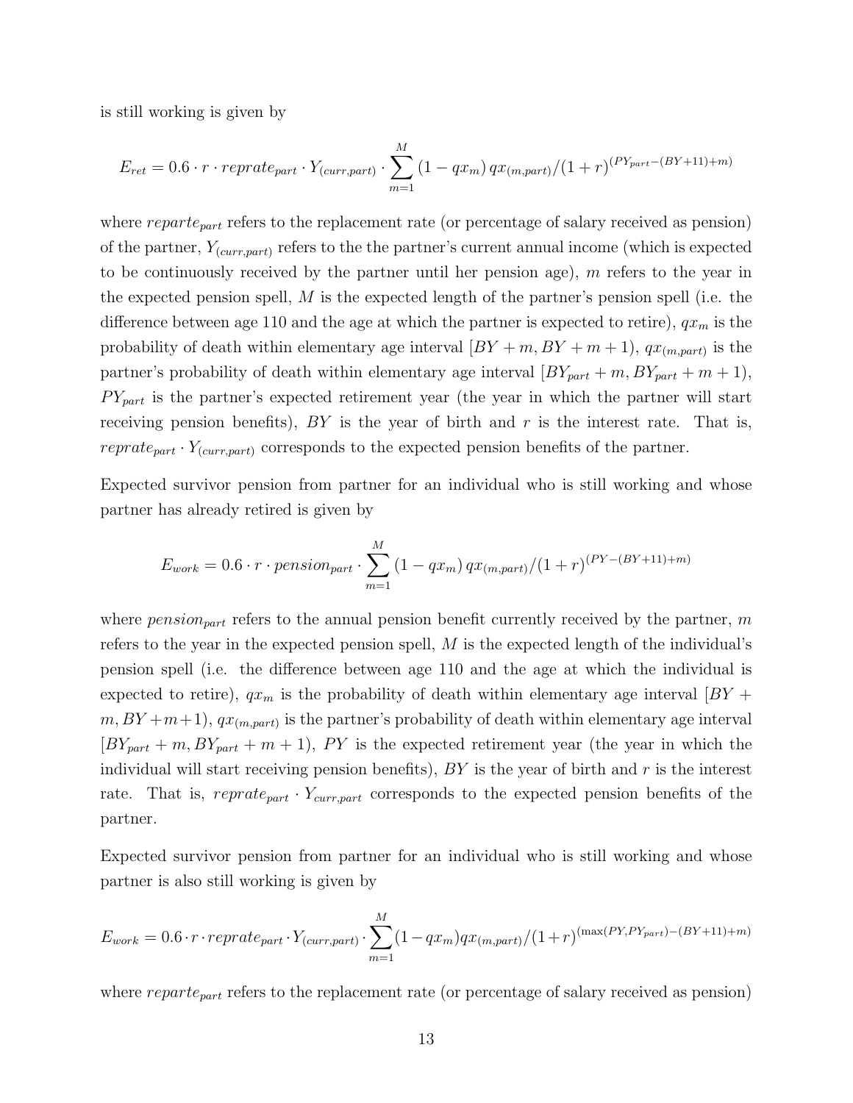is still working is given by

$$
E_{ret} = 0.6 \cdot r \cdot reprate_{part} \cdot Y_{(curr, part)} \cdot \sum_{m=1}^{M} (1 - qx_m) \, qx_{(m, part)}/(1 + r)^{(PY_{part} - (BY + 11) + m)}
$$

where  $reparte_{part}$  refers to the replacement rate (or percentage of salary received as pension) of the partner,  $Y_{(curr,part)}$  refers to the the partner's current annual income (which is expected to be continuously received by the partner until her pension age), m refers to the year in the expected pension spell,  $M$  is the expected length of the partner's pension spell (i.e. the difference between age 110 and the age at which the partner is expected to retire),  $qx_m$  is the probability of death within elementary age interval  $[BY + m, BY + m + 1), qx_{(m, part)}$  is the partner's probability of death within elementary age interval  $[BY_{part} + m, BY_{part} + m + 1]$ ,  $PY_{part}$  is the partner's expected retirement year (the year in which the partner will start receiving pension benefits),  $BY$  is the year of birth and  $r$  is the interest rate. That is, *reprate<sub>part</sub>*  $\cdot$   $Y_{(curr, part)}$  corresponds to the expected pension benefits of the partner.

Expected survivor pension from partner for an individual who is still working and whose partner has already retired is given by

$$
E_{work} = 0.6 \cdot r \cdot pension_{part} \cdot \sum_{m=1}^{M} (1 - qx_m) \, qx_{(m, part)}/(1 + r)^{(PY - (BY + 11) + m)}
$$

where  $pension_{part}$  refers to the annual pension benefit currently received by the partner, m refers to the year in the expected pension spell,  $M$  is the expected length of the individual's pension spell (i.e. the difference between age 110 and the age at which the individual is expected to retire),  $qx_m$  is the probability of death within elementary age interval  $|BY|$  $(m, BY + m+1), qx_{(m, part)}$  is the partner's probability of death within elementary age interval  $[BY_{part} + m, BY_{part} + m + 1], PY$  is the expected retirement year (the year in which the individual will start receiving pension benefits),  $BY$  is the year of birth and  $r$  is the interest rate. That is,  $reprate_{part} \cdot Y_{curr, part}$  corresponds to the expected pension benefits of the partner.

Expected survivor pension from partner for an individual who is still working and whose partner is also still working is given by

$$
E_{work} = 0.6 \cdot r \cdot reprate_{part} \cdot Y_{(curr, part)} \cdot \sum_{m=1}^{M} (1 - qx_m)qx_{(m, part)}/(1+r)^{(max(PY, PY_{part}) - (BY + 11) + m)}
$$

where  $reparte_{part}$  refers to the replacement rate (or percentage of salary received as pension)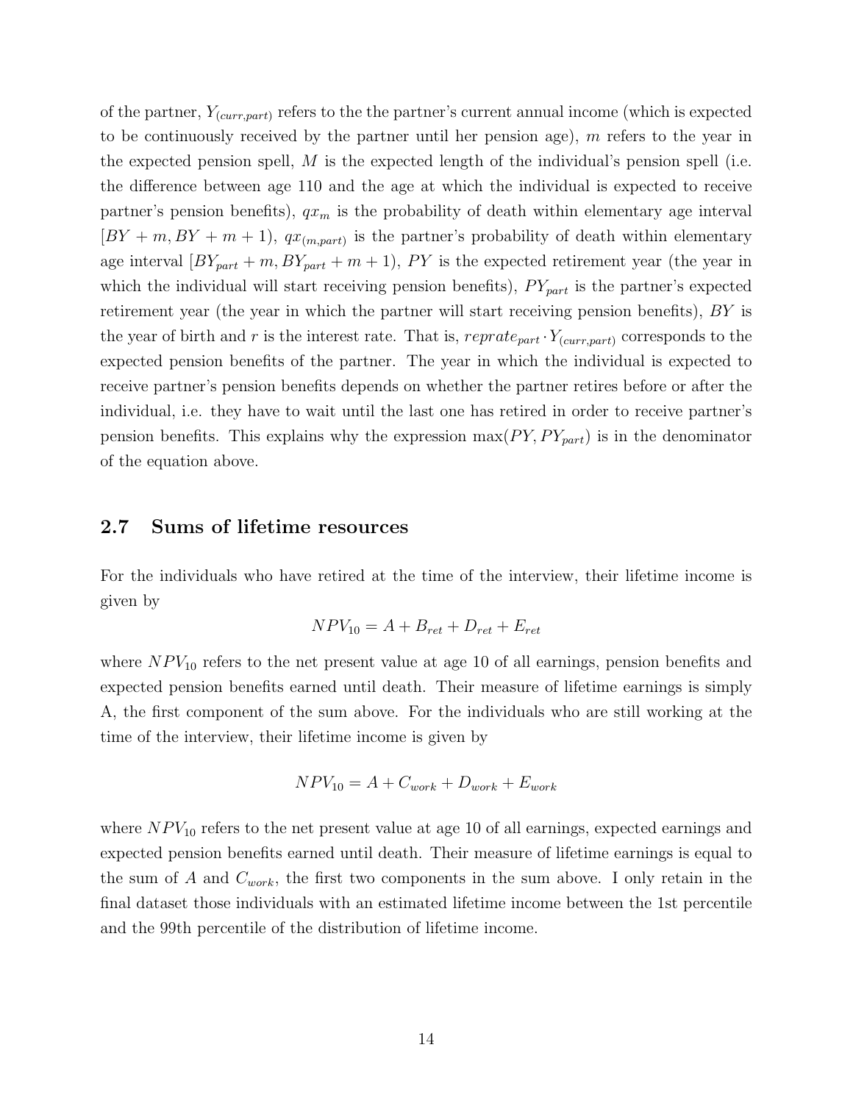of the partner,  $Y_{(curr, part)}$  refers to the the partner's current annual income (which is expected to be continuously received by the partner until her pension age),  $m$  refers to the year in the expected pension spell,  $M$  is the expected length of the individual's pension spell (i.e. the difference between age 110 and the age at which the individual is expected to receive partner's pension benefits),  $qx_m$  is the probability of death within elementary age interval  $[BY + m, BY + m + 1], qx_{(m, part)}$  is the partner's probability of death within elementary age interval  $[BY_{part} + m, BY_{part} + m + 1), PY$  is the expected retirement year (the year in which the individual will start receiving pension benefits),  $PY_{part}$  is the partner's expected retirement year (the year in which the partner will start receiving pension benefits), BY is the year of birth and r is the interest rate. That is,  $reprate_{part} \cdot Y_{(curr, part)}$  corresponds to the expected pension benefits of the partner. The year in which the individual is expected to receive partner's pension benefits depends on whether the partner retires before or after the individual, i.e. they have to wait until the last one has retired in order to receive partner's pension benefits. This explains why the expression  $max(PY, PY_{part})$  is in the denominator of the equation above.

#### 2.7 Sums of lifetime resources

For the individuals who have retired at the time of the interview, their lifetime income is given by

$$
NPV_{10} = A + B_{ret} + D_{ret} + E_{ret}
$$

where  $NPV_{10}$  refers to the net present value at age 10 of all earnings, pension benefits and expected pension benefits earned until death. Their measure of lifetime earnings is simply A, the first component of the sum above. For the individuals who are still working at the time of the interview, their lifetime income is given by

$$
NPV_{10} = A + C_{work} + D_{work} + E_{work}
$$

where  $NPV_{10}$  refers to the net present value at age 10 of all earnings, expected earnings and expected pension benefits earned until death. Their measure of lifetime earnings is equal to the sum of A and  $C_{work}$ , the first two components in the sum above. I only retain in the final dataset those individuals with an estimated lifetime income between the 1st percentile and the 99th percentile of the distribution of lifetime income.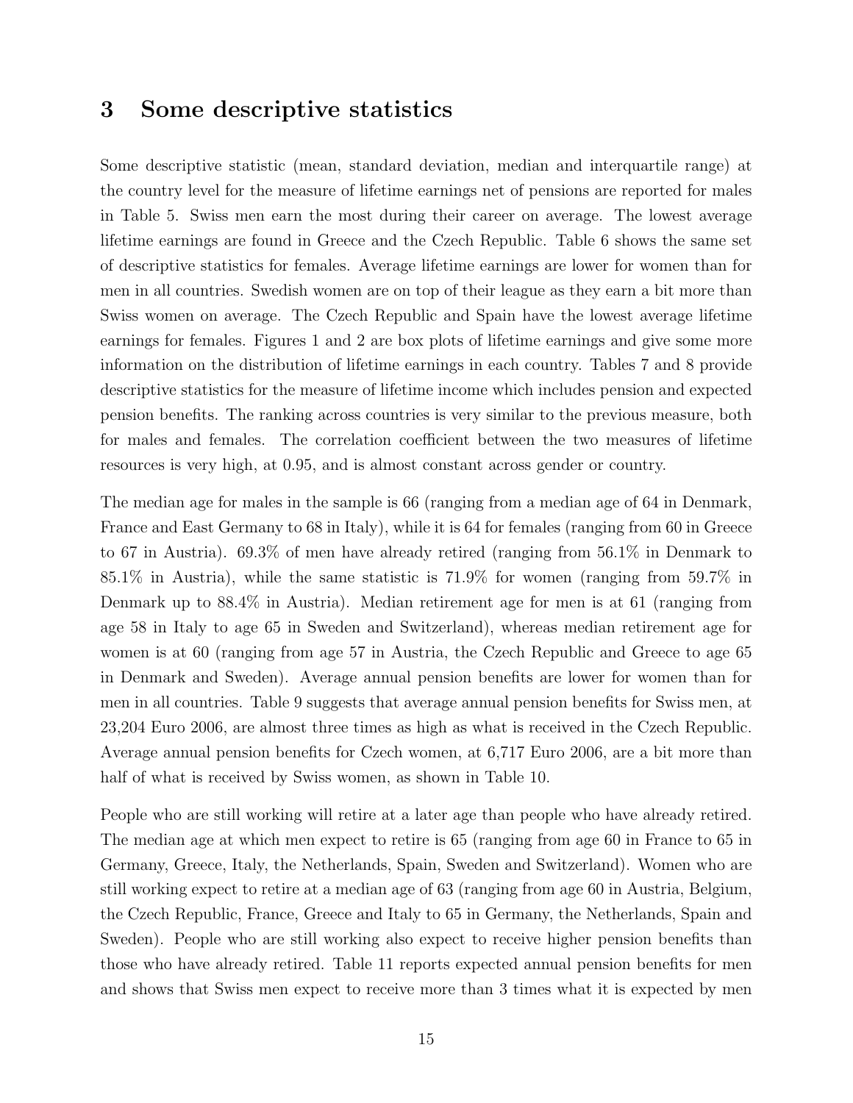### 3 Some descriptive statistics

Some descriptive statistic (mean, standard deviation, median and interquartile range) at the country level for the measure of lifetime earnings net of pensions are reported for males in Table [5.](#page-25-0) Swiss men earn the most during their career on average. The lowest average lifetime earnings are found in Greece and the Czech Republic. Table [6](#page-25-1) shows the same set of descriptive statistics for females. Average lifetime earnings are lower for women than for men in all countries. Swedish women are on top of their league as they earn a bit more than Swiss women on average. The Czech Republic and Spain have the lowest average lifetime earnings for females. Figures [1](#page-19-0) and [2](#page-19-1) are box plots of lifetime earnings and give some more information on the distribution of lifetime earnings in each country. Tables [7](#page-26-0) and [8](#page-26-1) provide descriptive statistics for the measure of lifetime income which includes pension and expected pension benefits. The ranking across countries is very similar to the previous measure, both for males and females. The correlation coefficient between the two measures of lifetime resources is very high, at 0.95, and is almost constant across gender or country.

The median age for males in the sample is 66 (ranging from a median age of 64 in Denmark, France and East Germany to 68 in Italy), while it is 64 for females (ranging from 60 in Greece to 67 in Austria). 69.3% of men have already retired (ranging from 56.1% in Denmark to 85.1% in Austria), while the same statistic is 71.9% for women (ranging from 59.7% in Denmark up to 88.4% in Austria). Median retirement age for men is at 61 (ranging from age 58 in Italy to age 65 in Sweden and Switzerland), whereas median retirement age for women is at 60 (ranging from age 57 in Austria, the Czech Republic and Greece to age 65 in Denmark and Sweden). Average annual pension benefits are lower for women than for men in all countries. Table [9](#page-27-0) suggests that average annual pension benefits for Swiss men, at 23,204 Euro 2006, are almost three times as high as what is received in the Czech Republic. Average annual pension benefits for Czech women, at 6,717 Euro 2006, are a bit more than half of what is received by Swiss women, as shown in Table [10.](#page-27-1)

People who are still working will retire at a later age than people who have already retired. The median age at which men expect to retire is 65 (ranging from age 60 in France to 65 in Germany, Greece, Italy, the Netherlands, Spain, Sweden and Switzerland). Women who are still working expect to retire at a median age of 63 (ranging from age 60 in Austria, Belgium, the Czech Republic, France, Greece and Italy to 65 in Germany, the Netherlands, Spain and Sweden). People who are still working also expect to receive higher pension benefits than those who have already retired. Table [11](#page-28-0) reports expected annual pension benefits for men and shows that Swiss men expect to receive more than 3 times what it is expected by men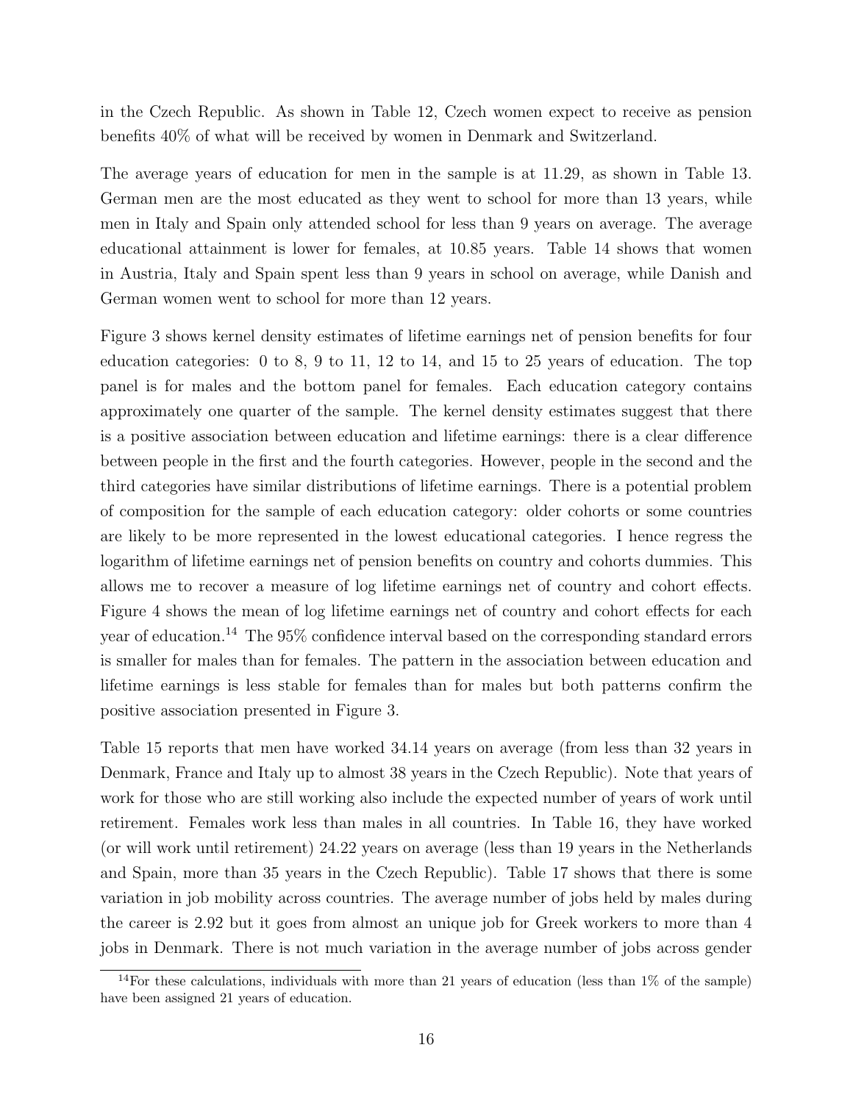in the Czech Republic. As shown in Table [12,](#page-28-1) Czech women expect to receive as pension benefits 40% of what will be received by women in Denmark and Switzerland.

The average years of education for men in the sample is at 11.29, as shown in Table [13.](#page-29-0) German men are the most educated as they went to school for more than 13 years, while men in Italy and Spain only attended school for less than 9 years on average. The average educational attainment is lower for females, at 10.85 years. Table [14](#page-29-1) shows that women in Austria, Italy and Spain spent less than 9 years in school on average, while Danish and German women went to school for more than 12 years.

Figure [3](#page-20-0) shows kernel density estimates of lifetime earnings net of pension benefits for four education categories: 0 to 8, 9 to 11, 12 to 14, and 15 to 25 years of education. The top panel is for males and the bottom panel for females. Each education category contains approximately one quarter of the sample. The kernel density estimates suggest that there is a positive association between education and lifetime earnings: there is a clear difference between people in the first and the fourth categories. However, people in the second and the third categories have similar distributions of lifetime earnings. There is a potential problem of composition for the sample of each education category: older cohorts or some countries are likely to be more represented in the lowest educational categories. I hence regress the logarithm of lifetime earnings net of pension benefits on country and cohorts dummies. This allows me to recover a measure of log lifetime earnings net of country and cohort effects. Figure [4](#page-21-0) shows the mean of log lifetime earnings net of country and cohort effects for each year of education.[14](#page-17-0) The 95% confidence interval based on the corresponding standard errors is smaller for males than for females. The pattern in the association between education and lifetime earnings is less stable for females than for males but both patterns confirm the positive association presented in Figure [3.](#page-20-0)

Table [15](#page-30-0) reports that men have worked 34.14 years on average (from less than 32 years in Denmark, France and Italy up to almost 38 years in the Czech Republic). Note that years of work for those who are still working also include the expected number of years of work until retirement. Females work less than males in all countries. In Table [16,](#page-30-1) they have worked (or will work until retirement) 24.22 years on average (less than 19 years in the Netherlands and Spain, more than 35 years in the Czech Republic). Table [17](#page-31-0) shows that there is some variation in job mobility across countries. The average number of jobs held by males during the career is 2.92 but it goes from almost an unique job for Greek workers to more than 4 jobs in Denmark. There is not much variation in the average number of jobs across gender

<span id="page-17-0"></span> $14$  For these calculations, individuals with more than 21 years of education (less than 1% of the sample) have been assigned 21 years of education.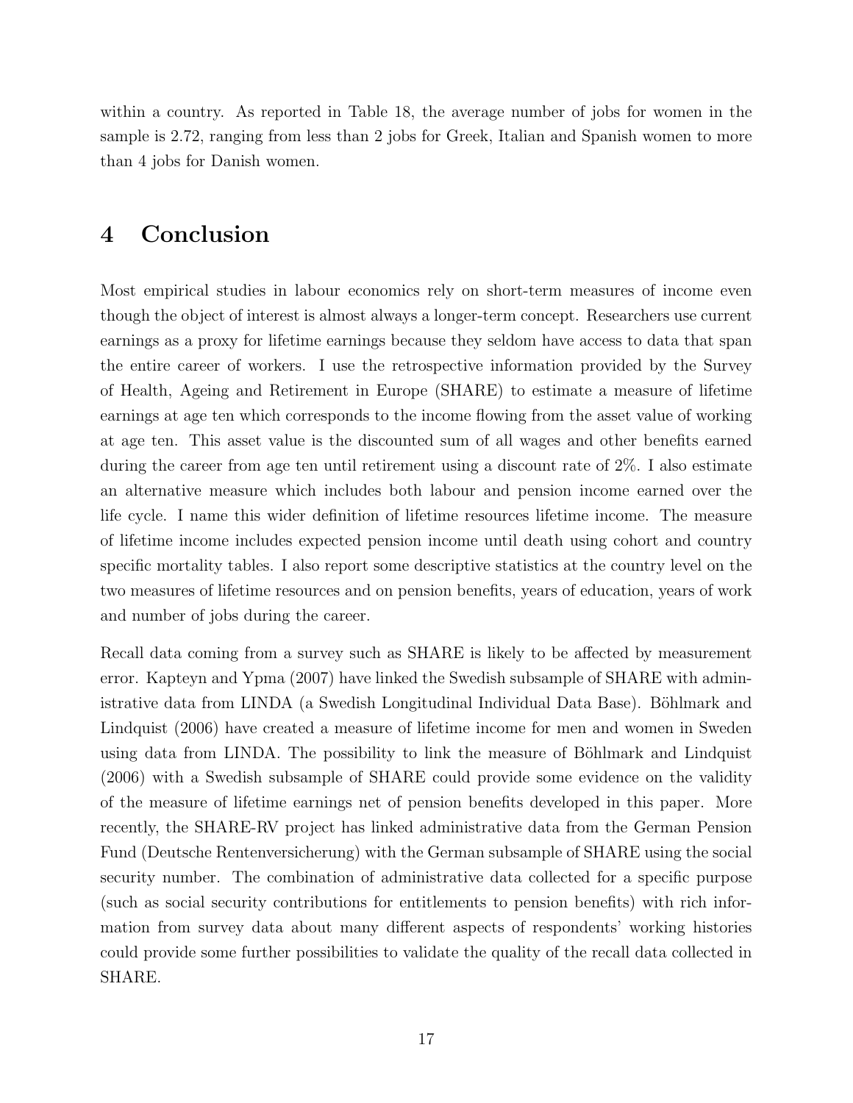within a country. As reported in Table [18,](#page-31-1) the average number of jobs for women in the sample is 2.72, ranging from less than 2 jobs for Greek, Italian and Spanish women to more than 4 jobs for Danish women.

## 4 Conclusion

Most empirical studies in labour economics rely on short-term measures of income even though the object of interest is almost always a longer-term concept. Researchers use current earnings as a proxy for lifetime earnings because they seldom have access to data that span the entire career of workers. I use the retrospective information provided by the Survey of Health, Ageing and Retirement in Europe (SHARE) to estimate a measure of lifetime earnings at age ten which corresponds to the income flowing from the asset value of working at age ten. This asset value is the discounted sum of all wages and other benefits earned during the career from age ten until retirement using a discount rate of 2%. I also estimate an alternative measure which includes both labour and pension income earned over the life cycle. I name this wider definition of lifetime resources lifetime income. The measure of lifetime income includes expected pension income until death using cohort and country specific mortality tables. I also report some descriptive statistics at the country level on the two measures of lifetime resources and on pension benefits, years of education, years of work and number of jobs during the career.

Recall data coming from a survey such as SHARE is likely to be affected by measurement error. [Kapteyn and Ypma](#page-33-2) [\(2007\)](#page-33-2) have linked the Swedish subsample of SHARE with administrative data from LINDA (a Swedish Longitudinal Individual Data Base). Böhlmark and [Lindquist](#page-32-2) [\(2006\)](#page-32-2) have created a measure of lifetime income for men and women in Sweden using data from LINDA. The possibility to link the measure of Böhlmark and Lindquist [\(2006\)](#page-32-2) with a Swedish subsample of SHARE could provide some evidence on the validity of the measure of lifetime earnings net of pension benefits developed in this paper. More recently, the SHARE-RV project has linked administrative data from the German Pension Fund (Deutsche Rentenversicherung) with the German subsample of SHARE using the social security number. The combination of administrative data collected for a specific purpose (such as social security contributions for entitlements to pension benefits) with rich information from survey data about many different aspects of respondents' working histories could provide some further possibilities to validate the quality of the recall data collected in SHARE.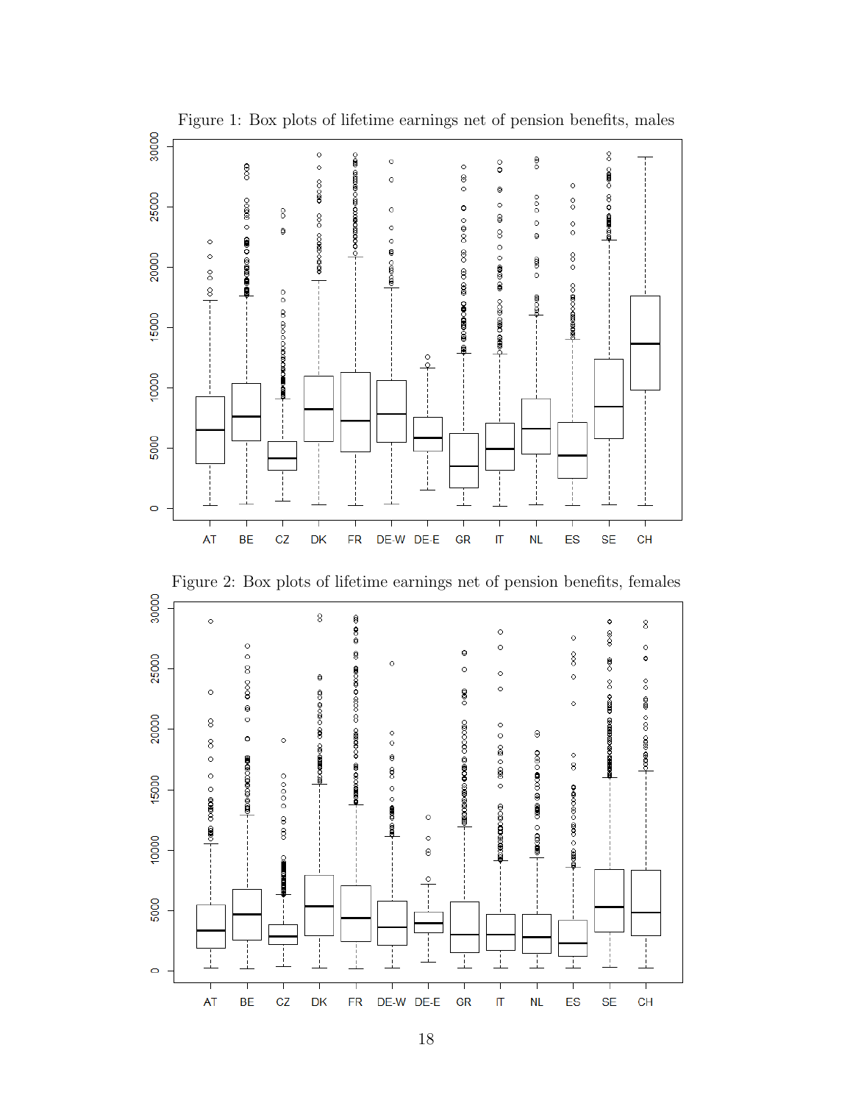<span id="page-19-1"></span>

<span id="page-19-0"></span>Figure 1: Box plots of lifetime earnings net of pension benefits, males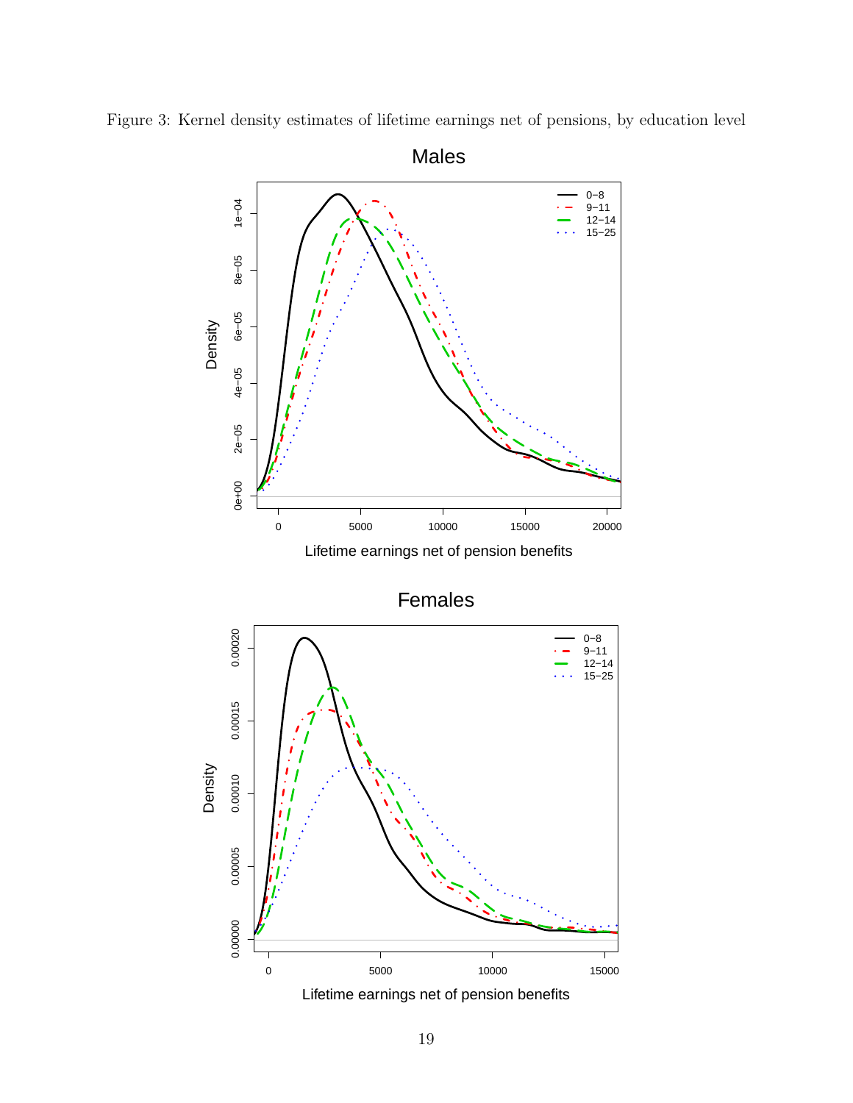

<span id="page-20-0"></span>

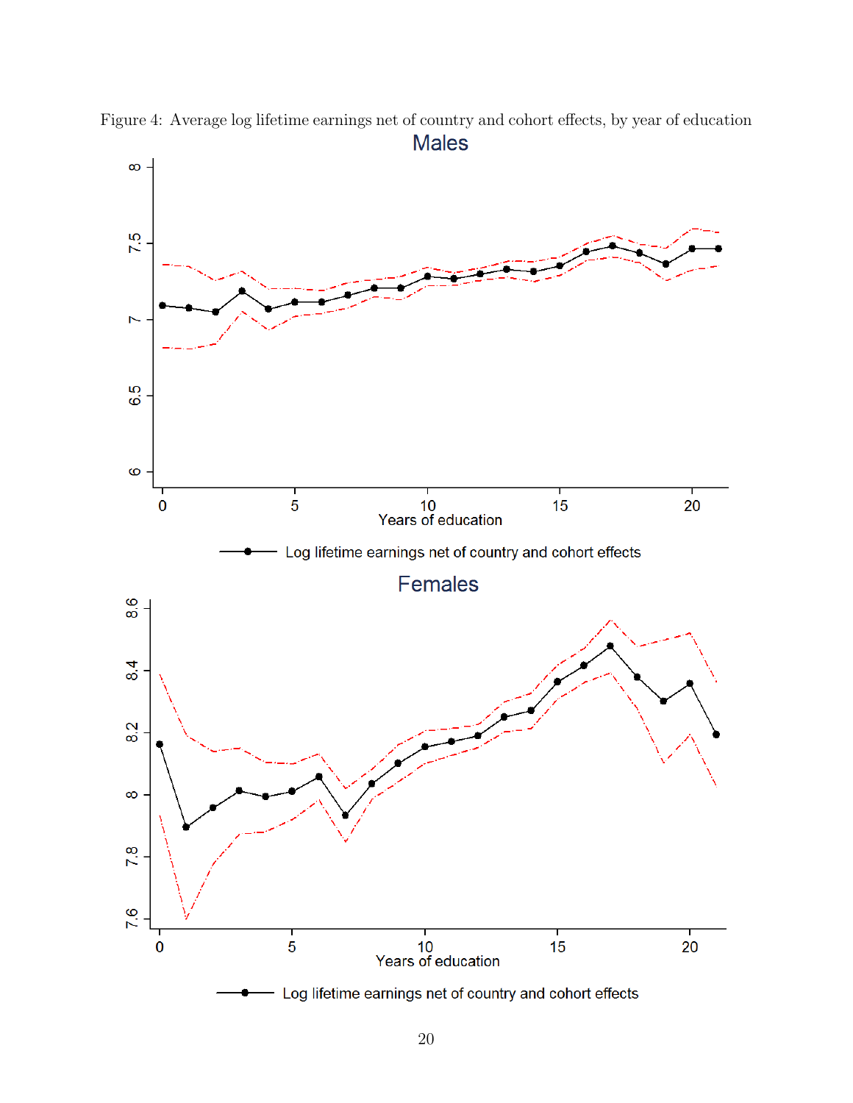<span id="page-21-0"></span>

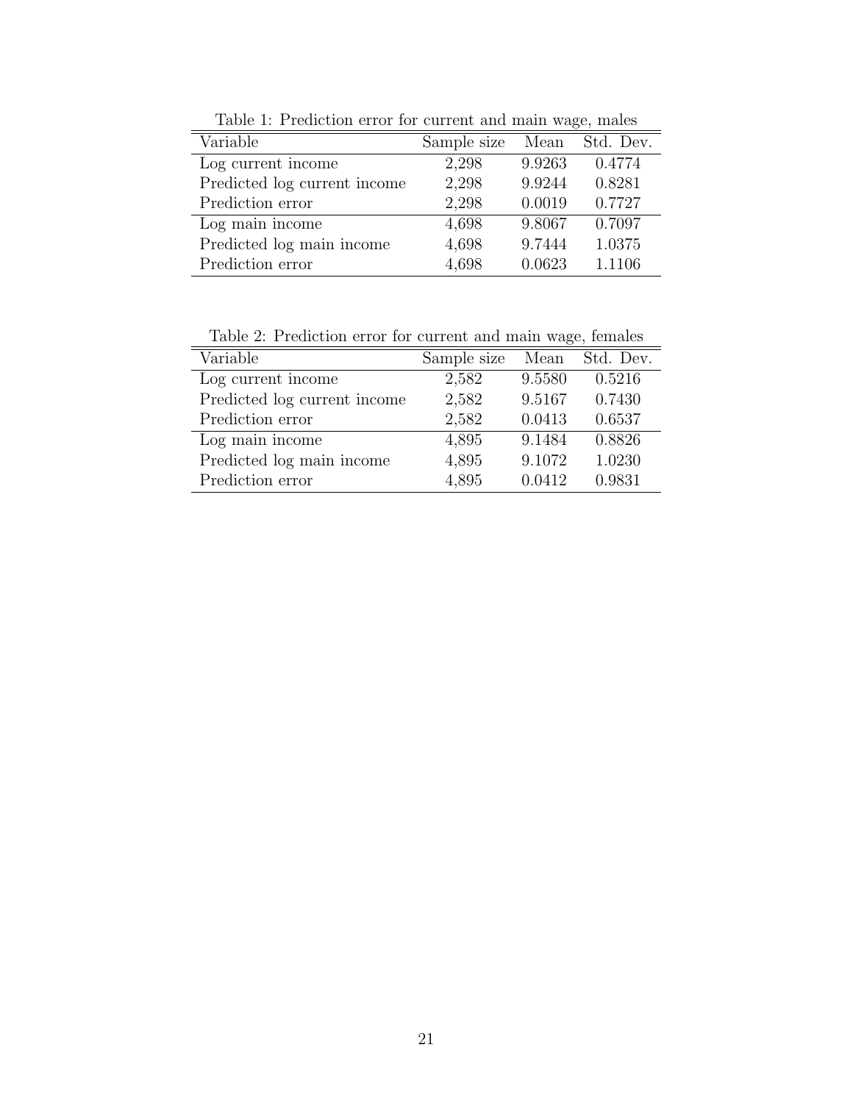| Variable                     | Sample size | Mean   | Std. Dev. |
|------------------------------|-------------|--------|-----------|
| Log current income           | 2,298       | 9.9263 | 0.4774    |
| Predicted log current income | 2,298       | 9.9244 | 0.8281    |
| Prediction error             | 2,298       | 0.0019 | 0.7727    |
| Log main income              | 4,698       | 9.8067 | 0.7097    |
| Predicted log main income    | 4,698       | 9.7444 | 1.0375    |
| Prediction error             | 4,698       | 0.0623 | 1.1106    |

<span id="page-22-0"></span>Table 1: Prediction error for current and main wage, males

<span id="page-22-1"></span>Table 2: Prediction error for current and main wage, females

| Table 2. I rediction cribi for edificite and main wage, females |             |        |           |  |  |  |  |
|-----------------------------------------------------------------|-------------|--------|-----------|--|--|--|--|
| Variable                                                        | Sample size | Mean   | Std. Dev. |  |  |  |  |
| Log current income                                              | 2,582       | 9.5580 | 0.5216    |  |  |  |  |
| Predicted log current income                                    | 2,582       | 9.5167 | 0.7430    |  |  |  |  |
| Prediction error                                                | 2,582       | 0.0413 | 0.6537    |  |  |  |  |
| Log main income                                                 | 4,895       | 9.1484 | 0.8826    |  |  |  |  |
| Predicted log main income                                       | 4,895       | 9.1072 | 1.0230    |  |  |  |  |
| Prediction error                                                | 4,895       | 0.0412 | 0.9831    |  |  |  |  |
|                                                                 |             |        |           |  |  |  |  |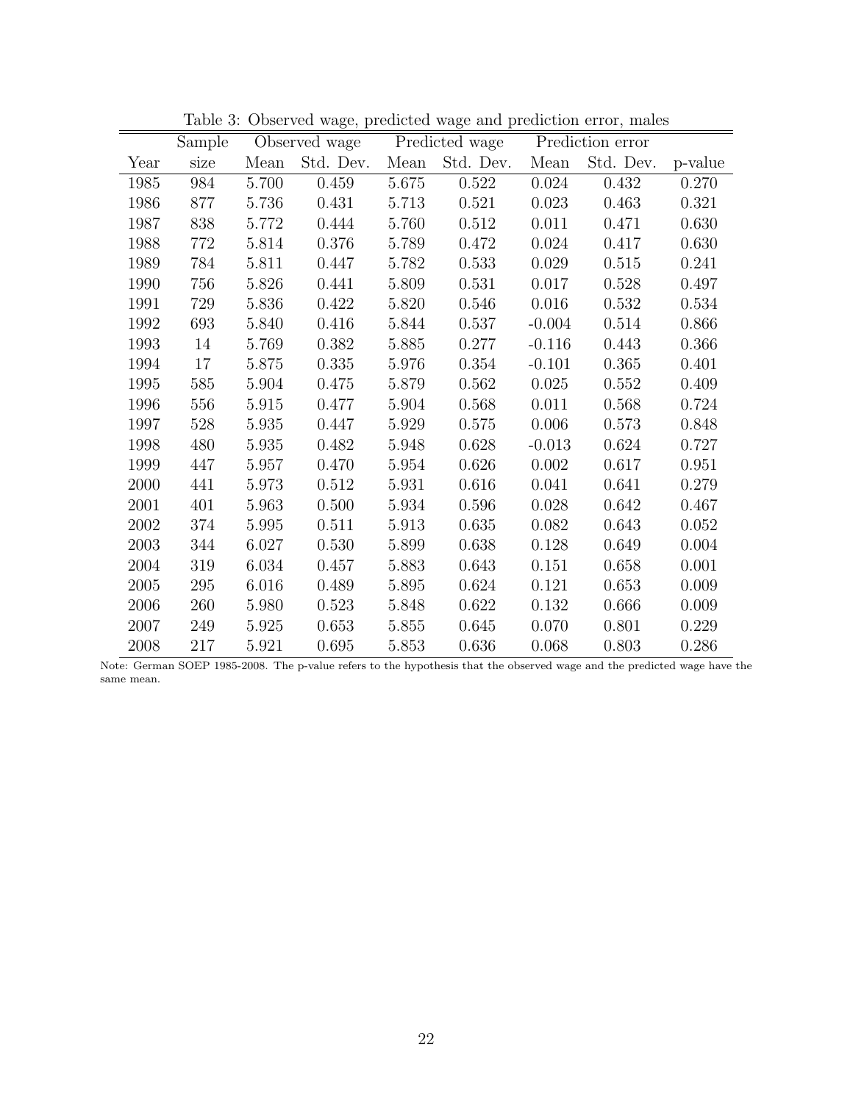|      | Sample |       | Observed wage |       | Predicted wage |           | Prediction error |         |
|------|--------|-------|---------------|-------|----------------|-----------|------------------|---------|
| Year | size   | Mean  | Std. Dev.     | Mean  | Std. Dev.      | Mean      | Std. Dev.        | p-value |
| 1985 | 984    | 5.700 | 0.459         | 5.675 | 0.522          | 0.024     | 0.432            | 0.270   |
| 1986 | 877    | 5.736 | 0.431         | 5.713 | 0.521          | 0.023     | 0.463            | 0.321   |
| 1987 | 838    | 5.772 | 0.444         | 5.760 | 0.512          | 0.011     | 0.471            | 0.630   |
| 1988 | 772    | 5.814 | 0.376         | 5.789 | 0.472          | 0.024     | 0.417            | 0.630   |
| 1989 | 784    | 5.811 | 0.447         | 5.782 | 0.533          | 0.029     | 0.515            | 0.241   |
| 1990 | 756    | 5.826 | 0.441         | 5.809 | 0.531          | 0.017     | 0.528            | 0.497   |
| 1991 | 729    | 5.836 | 0.422         | 5.820 | 0.546          | 0.016     | 0.532            | 0.534   |
| 1992 | 693    | 5.840 | 0.416         | 5.844 | 0.537          | $-0.004$  | 0.514            | 0.866   |
| 1993 | 14     | 5.769 | 0.382         | 5.885 | 0.277          | $-0.116$  | 0.443            | 0.366   |
| 1994 | 17     | 5.875 | 0.335         | 5.976 | 0.354          | $-0.101$  | 0.365            | 0.401   |
| 1995 | 585    | 5.904 | 0.475         | 5.879 | 0.562          | 0.025     | 0.552            | 0.409   |
| 1996 | 556    | 5.915 | 0.477         | 5.904 | 0.568          | 0.011     | 0.568            | 0.724   |
| 1997 | 528    | 5.935 | 0.447         | 5.929 | 0.575          | 0.006     | 0.573            | 0.848   |
| 1998 | 480    | 5.935 | 0.482         | 5.948 | 0.628          | $-0.013$  | 0.624            | 0.727   |
| 1999 | 447    | 5.957 | 0.470         | 5.954 | 0.626          | 0.002     | 0.617            | 0.951   |
| 2000 | 441    | 5.973 | 0.512         | 5.931 | 0.616          | 0.041     | 0.641            | 0.279   |
| 2001 | 401    | 5.963 | 0.500         | 5.934 | 0.596          | 0.028     | 0.642            | 0.467   |
| 2002 | 374    | 5.995 | 0.511         | 5.913 | 0.635          | 0.082     | 0.643            | 0.052   |
| 2003 | 344    | 6.027 | 0.530         | 5.899 | 0.638          | 0.128     | 0.649            | 0.004   |
| 2004 | 319    | 6.034 | 0.457         | 5.883 | 0.643          | 0.151     | 0.658            | 0.001   |
| 2005 | 295    | 6.016 | 0.489         | 5.895 | 0.624          | 0.121     | 0.653            | 0.009   |
| 2006 | 260    | 5.980 | 0.523         | 5.848 | 0.622          | $0.132\,$ | 0.666            | 0.009   |
| 2007 | 249    | 5.925 | 0.653         | 5.855 | 0.645          | 0.070     | 0.801            | 0.229   |
| 2008 | 217    | 5.921 | 0.695         | 5.853 | 0.636          | 0.068     | 0.803            | 0.286   |

<span id="page-23-0"></span>Table 3: Observed wage, predicted wage and prediction error, males

Note: German SOEP 1985-2008. The p-value refers to the hypothesis that the observed wage and the predicted wage have the same mean.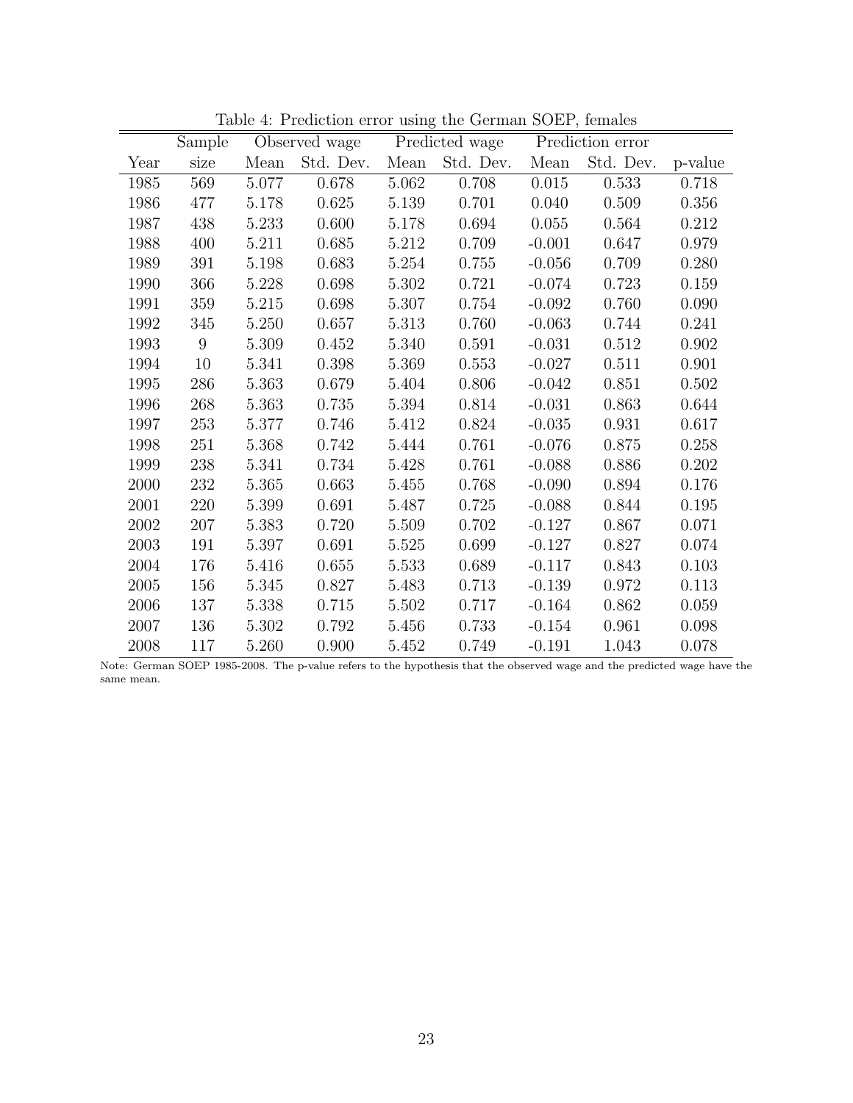|      | Sample |       | Observed wage |       | Predicted wage |           | Prediction error |           |
|------|--------|-------|---------------|-------|----------------|-----------|------------------|-----------|
| Year | size   | Mean  | Std. Dev.     | Mean  | Std. Dev.      | Mean      | Std. Dev.        | p-value   |
| 1985 | 569    | 5.077 | 0.678         | 5.062 | 0.708          | $0.015\,$ | 0.533            | 0.718     |
| 1986 | 477    | 5.178 | 0.625         | 5.139 | 0.701          | 0.040     | 0.509            | 0.356     |
| 1987 | 438    | 5.233 | 0.600         | 5.178 | 0.694          | 0.055     | 0.564            | 0.212     |
| 1988 | 400    | 5.211 | 0.685         | 5.212 | 0.709          | $-0.001$  | 0.647            | 0.979     |
| 1989 | 391    | 5.198 | 0.683         | 5.254 | 0.755          | $-0.056$  | 0.709            | 0.280     |
| 1990 | 366    | 5.228 | 0.698         | 5.302 | 0.721          | $-0.074$  | 0.723            | 0.159     |
| 1991 | 359    | 5.215 | 0.698         | 5.307 | 0.754          | $-0.092$  | 0.760            | 0.090     |
| 1992 | 345    | 5.250 | 0.657         | 5.313 | 0.760          | $-0.063$  | 0.744            | 0.241     |
| 1993 | 9      | 5.309 | 0.452         | 5.340 | 0.591          | $-0.031$  | 0.512            | 0.902     |
| 1994 | $10\,$ | 5.341 | 0.398         | 5.369 | 0.553          | $-0.027$  | 0.511            | 0.901     |
| 1995 | 286    | 5.363 | 0.679         | 5.404 | 0.806          | $-0.042$  | 0.851            | 0.502     |
| 1996 | 268    | 5.363 | 0.735         | 5.394 | 0.814          | $-0.031$  | 0.863            | 0.644     |
| 1997 | 253    | 5.377 | 0.746         | 5.412 | 0.824          | $-0.035$  | 0.931            | 0.617     |
| 1998 | 251    | 5.368 | 0.742         | 5.444 | 0.761          | $-0.076$  | 0.875            | 0.258     |
| 1999 | 238    | 5.341 | 0.734         | 5.428 | 0.761          | $-0.088$  | 0.886            | 0.202     |
| 2000 | 232    | 5.365 | 0.663         | 5.455 | 0.768          | $-0.090$  | 0.894            | 0.176     |
| 2001 | 220    | 5.399 | 0.691         | 5.487 | 0.725          | $-0.088$  | 0.844            | 0.195     |
| 2002 | 207    | 5.383 | 0.720         | 5.509 | 0.702          | $-0.127$  | 0.867            | 0.071     |
| 2003 | 191    | 5.397 | 0.691         | 5.525 | 0.699          | $-0.127$  | 0.827            | 0.074     |
| 2004 | 176    | 5.416 | 0.655         | 5.533 | 0.689          | $-0.117$  | 0.843            | $0.103\,$ |
| 2005 | 156    | 5.345 | 0.827         | 5.483 | 0.713          | $-0.139$  | 0.972            | 0.113     |
| 2006 | 137    | 5.338 | 0.715         | 5.502 | 0.717          | $-0.164$  | 0.862            | 0.059     |
| 2007 | 136    | 5.302 | 0.792         | 5.456 | 0.733          | $-0.154$  | 0.961            | 0.098     |
| 2008 | 117    | 5.260 | 0.900         | 5.452 | 0.749          | $-0.191$  | 1.043            | 0.078     |

<span id="page-24-0"></span>Table 4: Prediction error using the German SOEP, females

Note: German SOEP 1985-2008. The p-value refers to the hypothesis that the observed wage and the predicted wage have the same mean.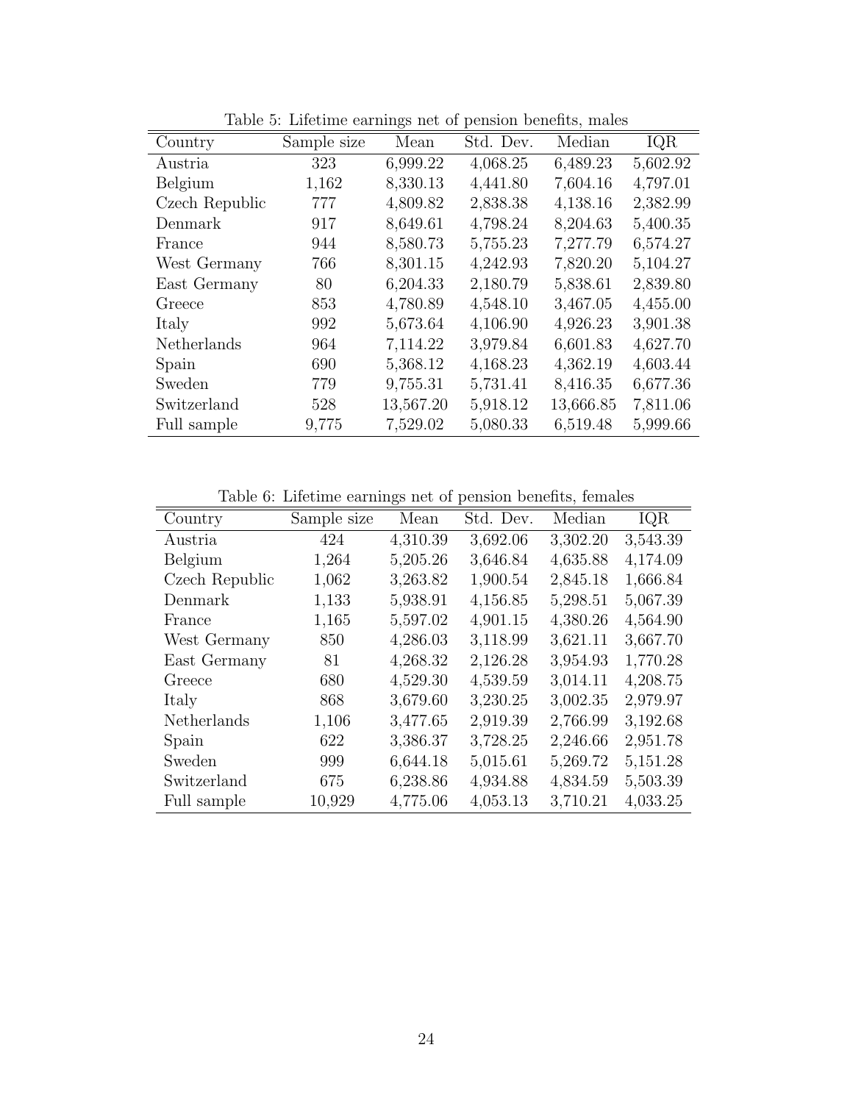| Country        | Sample size | Mean      | Std. Dev. | Median    | IQR      |
|----------------|-------------|-----------|-----------|-----------|----------|
| Austria        | 323         | 6,999.22  | 4,068.25  | 6,489.23  | 5,602.92 |
| Belgium        | 1,162       | 8,330.13  | 4,441.80  | 7,604.16  | 4,797.01 |
| Czech Republic | 777         | 4,809.82  | 2,838.38  | 4,138.16  | 2,382.99 |
| Denmark        | 917         | 8,649.61  | 4,798.24  | 8,204.63  | 5,400.35 |
| France         | 944         | 8,580.73  | 5,755.23  | 7,277.79  | 6,574.27 |
| West Germany   | 766         | 8,301.15  | 4,242.93  | 7,820.20  | 5,104.27 |
| East Germany   | 80          | 6,204.33  | 2,180.79  | 5,838.61  | 2,839.80 |
| Greece         | 853         | 4,780.89  | 4,548.10  | 3,467.05  | 4,455.00 |
| Italy          | 992         | 5,673.64  | 4,106.90  | 4,926.23  | 3,901.38 |
| Netherlands    | 964         | 7,114.22  | 3,979.84  | 6,601.83  | 4,627.70 |
| Spain          | 690         | 5,368.12  | 4,168.23  | 4,362.19  | 4,603.44 |
| Sweden         | 779         | 9,755.31  | 5,731.41  | 8,416.35  | 6,677.36 |
| Switzerland    | 528         | 13,567.20 | 5,918.12  | 13,666.85 | 7,811.06 |
| Full sample    | 9,775       | 7,529.02  | 5,080.33  | 6,519.48  | 5,999.66 |

<span id="page-25-0"></span>Table 5: Lifetime earnings net of pension benefits, males

<span id="page-25-1"></span>Table 6: Lifetime earnings net of pension benefits, females

| Country        | Sample size | Mean     | Std. Dev. | Median   | IQR      |
|----------------|-------------|----------|-----------|----------|----------|
| Austria        | 424         | 4,310.39 | 3,692.06  | 3,302.20 | 3,543.39 |
| Belgium        | 1,264       | 5,205.26 | 3,646.84  | 4,635.88 | 4,174.09 |
| Czech Republic | 1,062       | 3,263.82 | 1,900.54  | 2,845.18 | 1,666.84 |
| Denmark        | 1,133       | 5,938.91 | 4,156.85  | 5,298.51 | 5,067.39 |
| France         | 1,165       | 5,597.02 | 4,901.15  | 4,380.26 | 4,564.90 |
| West Germany   | 850         | 4,286.03 | 3,118.99  | 3,621.11 | 3,667.70 |
| East Germany   | 81          | 4,268.32 | 2,126.28  | 3,954.93 | 1,770.28 |
| Greece         | 680         | 4,529.30 | 4,539.59  | 3,014.11 | 4,208.75 |
| Italy          | 868         | 3,679.60 | 3,230.25  | 3,002.35 | 2,979.97 |
| Netherlands    | 1,106       | 3,477.65 | 2,919.39  | 2,766.99 | 3,192.68 |
| Spain          | 622         | 3,386.37 | 3,728.25  | 2,246.66 | 2,951.78 |
| Sweden         | 999         | 6,644.18 | 5,015.61  | 5,269.72 | 5,151.28 |
| Switzerland    | 675         | 6,238.86 | 4,934.88  | 4,834.59 | 5,503.39 |
| Full sample    | 10,929      | 4,775.06 | 4,053.13  | 3,710.21 | 4,033.25 |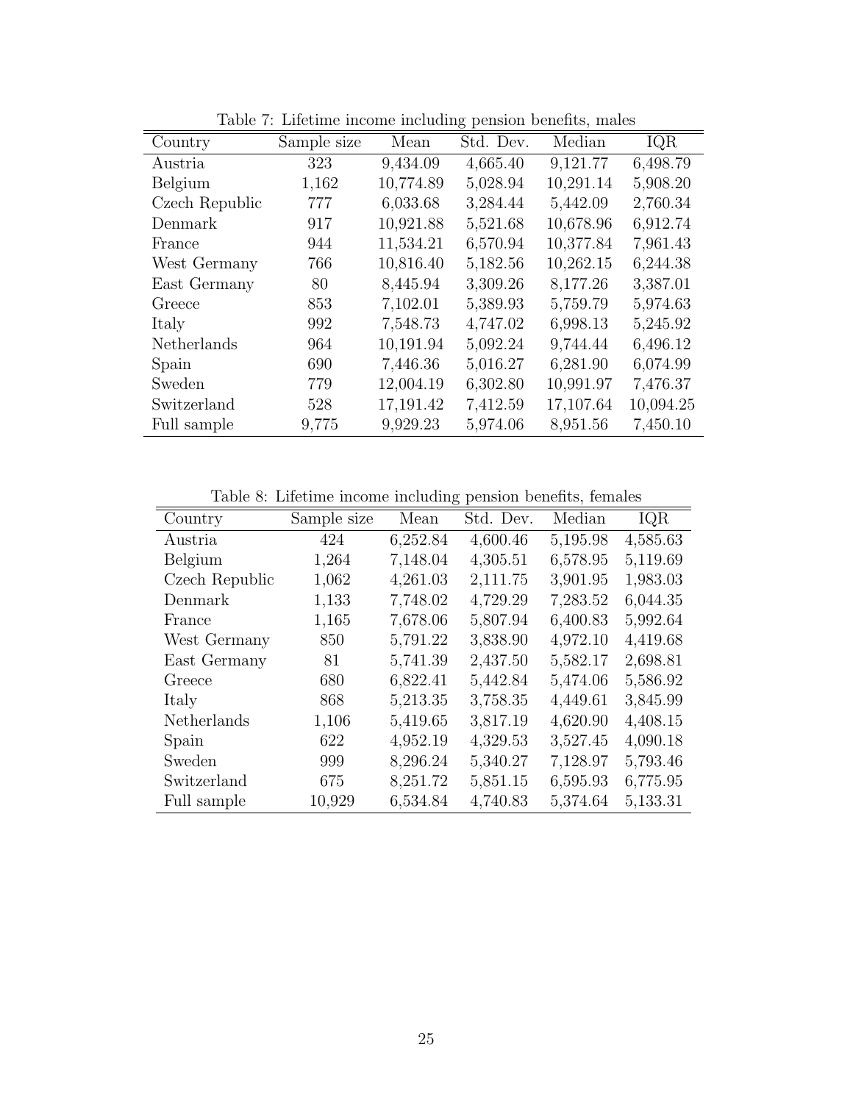|                | Table 1. Encenne media meriding pension benefits, mates |           |           |           |           |  |  |  |
|----------------|---------------------------------------------------------|-----------|-----------|-----------|-----------|--|--|--|
| Country        | Sample size                                             | Mean      | Std. Dev. | Median    | IQR       |  |  |  |
| Austria        | 323                                                     | 9,434.09  | 4,665.40  | 9,121.77  | 6,498.79  |  |  |  |
| Belgium        | 1,162                                                   | 10,774.89 | 5,028.94  | 10,291.14 | 5,908.20  |  |  |  |
| Czech Republic | 777                                                     | 6,033.68  | 3,284.44  | 5,442.09  | 2,760.34  |  |  |  |
| Denmark        | 917                                                     | 10,921.88 | 5,521.68  | 10,678.96 | 6,912.74  |  |  |  |
| France         | 944                                                     | 11,534.21 | 6,570.94  | 10,377.84 | 7,961.43  |  |  |  |
| West Germany   | 766                                                     | 10,816.40 | 5,182.56  | 10,262.15 | 6,244.38  |  |  |  |
| East Germany   | 80                                                      | 8,445.94  | 3,309.26  | 8,177.26  | 3,387.01  |  |  |  |
| Greece         | 853                                                     | 7,102.01  | 5,389.93  | 5,759.79  | 5,974.63  |  |  |  |
| Italy          | 992                                                     | 7,548.73  | 4,747.02  | 6,998.13  | 5,245.92  |  |  |  |
| Netherlands    | 964                                                     | 10,191.94 | 5,092.24  | 9,744.44  | 6,496.12  |  |  |  |
| Spain          | 690                                                     | 7,446.36  | 5,016.27  | 6,281.90  | 6,074.99  |  |  |  |
| Sweden         | 779                                                     | 12,004.19 | 6,302.80  | 10,991.97 | 7,476.37  |  |  |  |
| Switzerland    | 528                                                     | 17,191.42 | 7,412.59  | 17,107.64 | 10,094.25 |  |  |  |
| Full sample    | 9,775                                                   | 9,929.23  | 5,974.06  | 8,951.56  | 7,450.10  |  |  |  |

<span id="page-26-0"></span>Table 7: Lifetime income including pension benefits, males

<span id="page-26-1"></span>Table 8: Lifetime income including pension benefits, females

| Country        | Sample size | Mean     | Std. Dev. | Median   | IQR      |
|----------------|-------------|----------|-----------|----------|----------|
| Austria        | 424         | 6,252.84 | 4,600.46  | 5,195.98 | 4,585.63 |
| Belgium        | 1,264       | 7,148.04 | 4,305.51  | 6,578.95 | 5,119.69 |
| Czech Republic | 1,062       | 4,261.03 | 2,111.75  | 3,901.95 | 1,983.03 |
| Denmark        | 1,133       | 7,748.02 | 4,729.29  | 7,283.52 | 6,044.35 |
| France         | 1,165       | 7,678.06 | 5,807.94  | 6,400.83 | 5,992.64 |
| West Germany   | 850         | 5,791.22 | 3,838.90  | 4,972.10 | 4,419.68 |
| East Germany   | 81          | 5,741.39 | 2,437.50  | 5,582.17 | 2,698.81 |
| Greece         | 680         | 6,822.41 | 5,442.84  | 5,474.06 | 5,586.92 |
| Italy          | 868         | 5,213.35 | 3,758.35  | 4,449.61 | 3,845.99 |
| Netherlands    | 1,106       | 5,419.65 | 3,817.19  | 4,620.90 | 4,408.15 |
| Spain          | 622         | 4,952.19 | 4,329.53  | 3,527.45 | 4,090.18 |
| Sweden         | 999         | 8,296.24 | 5,340.27  | 7,128.97 | 5,793.46 |
| Switzerland    | 675         | 8,251.72 | 5,851.15  | 6,595.93 | 6,775.95 |
| Full sample    | 10,929      | 6,534.84 | 4,740.83  | 5,374.64 | 5,133.31 |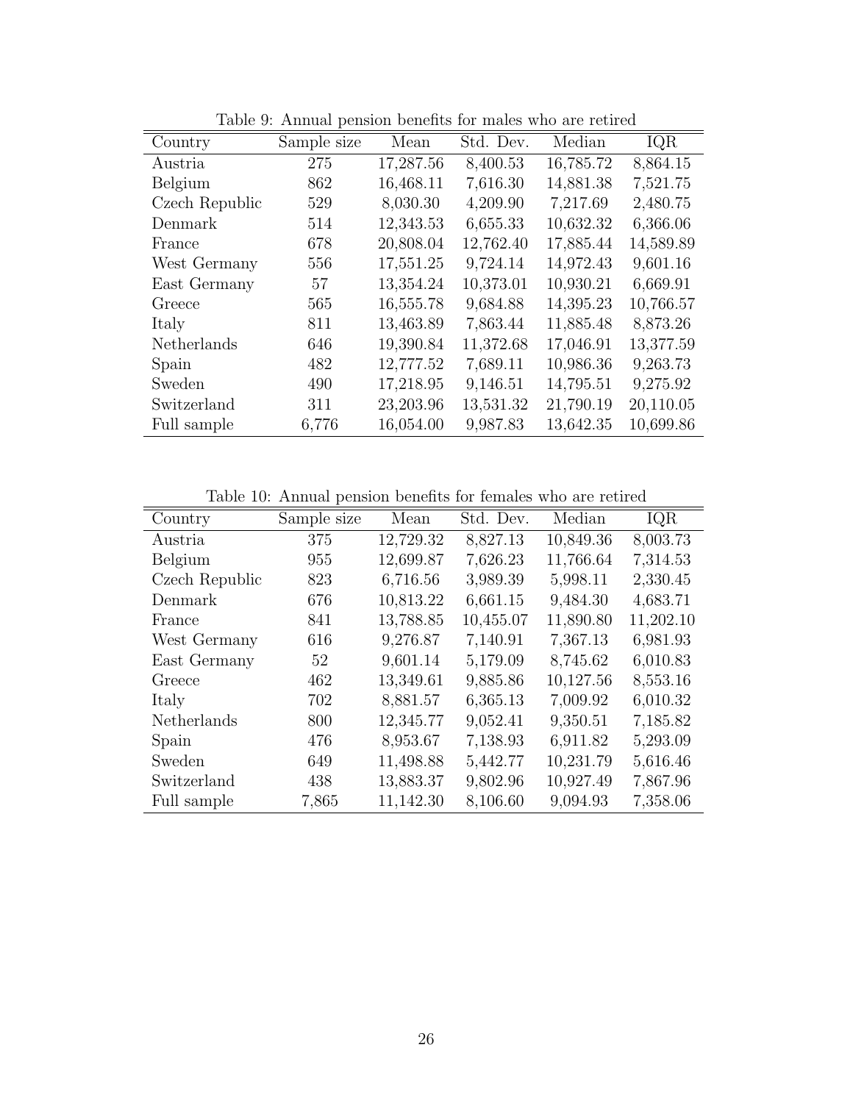|       | Mean        | Std. Dev. | Median    | IQR       |
|-------|-------------|-----------|-----------|-----------|
| 275   | 17,287.56   | 8,400.53  | 16,785.72 | 8,864.15  |
| 862   | 16,468.11   | 7,616.30  | 14,881.38 | 7,521.75  |
| 529   | 8,030.30    | 4,209.90  | 7,217.69  | 2,480.75  |
| 514   | 12,343.53   | 6,655.33  | 10,632.32 | 6,366.06  |
| 678   | 20,808.04   | 12,762.40 | 17,885.44 | 14,589.89 |
| 556   | 17,551.25   | 9,724.14  | 14,972.43 | 9,601.16  |
| 57    | 13,354.24   | 10,373.01 | 10,930.21 | 6,669.91  |
| 565   | 16,555.78   | 9,684.88  | 14,395.23 | 10,766.57 |
| 811   | 13,463.89   | 7,863.44  | 11,885.48 | 8,873.26  |
| 646   | 19,390.84   | 11,372.68 | 17,046.91 | 13,377.59 |
| 482   | 12,777.52   | 7,689.11  | 10,986.36 | 9,263.73  |
| 490   | 17,218.95   | 9,146.51  | 14,795.51 | 9,275.92  |
| 311   | 23,203.96   | 13,531.32 | 21,790.19 | 20,110.05 |
| 6,776 | 16,054.00   | 9,987.83  | 13,642.35 | 10,699.86 |
|       | Sample size |           |           |           |

<span id="page-27-0"></span>Table 9: Annual pension benefits for males who are retired

<span id="page-27-1"></span>Table 10: Annual pension benefits for females who are retired

| Country        | Sample size | Mean      | Std. Dev. | Median    | IQR       |
|----------------|-------------|-----------|-----------|-----------|-----------|
| Austria        | 375         | 12,729.32 | 8,827.13  | 10,849.36 | 8,003.73  |
| Belgium        | 955         | 12,699.87 | 7,626.23  | 11,766.64 | 7,314.53  |
| Czech Republic | 823         | 6,716.56  | 3,989.39  | 5,998.11  | 2,330.45  |
| Denmark        | 676         | 10,813.22 | 6,661.15  | 9,484.30  | 4,683.71  |
| France         | 841         | 13,788.85 | 10,455.07 | 11,890.80 | 11,202.10 |
| West Germany   | 616         | 9,276.87  | 7,140.91  | 7,367.13  | 6,981.93  |
| East Germany   | 52          | 9,601.14  | 5,179.09  | 8,745.62  | 6,010.83  |
| Greece         | 462         | 13,349.61 | 9,885.86  | 10,127.56 | 8,553.16  |
| Italy          | 702         | 8,881.57  | 6,365.13  | 7,009.92  | 6,010.32  |
| Netherlands    | 800         | 12,345.77 | 9,052.41  | 9,350.51  | 7,185.82  |
| Spain          | 476         | 8,953.67  | 7,138.93  | 6,911.82  | 5,293.09  |
| Sweden         | 649         | 11,498.88 | 5,442.77  | 10,231.79 | 5,616.46  |
| Switzerland    | 438         | 13,883.37 | 9,802.96  | 10,927.49 | 7,867.96  |
| Full sample    | 7,865       | 11,142.30 | 8,106.60  | 9,094.93  | 7,358.06  |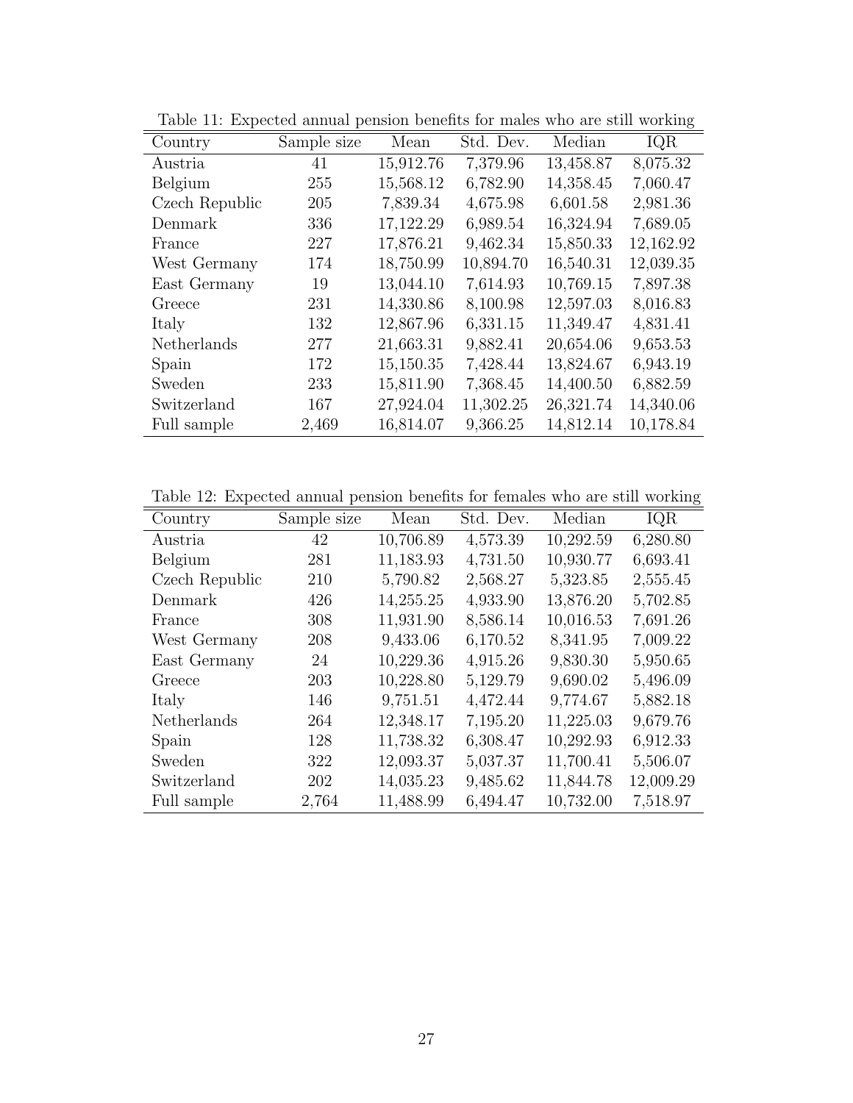|                | Table 11. Expected allittat pension belieftes for marcs who are still working |           |           |           |           |  |  |
|----------------|-------------------------------------------------------------------------------|-----------|-----------|-----------|-----------|--|--|
| Country        | Sample size                                                                   | Mean      | Std. Dev. | Median    | IQR       |  |  |
| Austria        | 41                                                                            | 15,912.76 | 7,379.96  | 13,458.87 | 8,075.32  |  |  |
| Belgium        | 255                                                                           | 15,568.12 | 6,782.90  | 14,358.45 | 7,060.47  |  |  |
| Czech Republic | 205                                                                           | 7,839.34  | 4,675.98  | 6,601.58  | 2,981.36  |  |  |
| Denmark        | 336                                                                           | 17,122.29 | 6,989.54  | 16,324.94 | 7,689.05  |  |  |
| France         | 227                                                                           | 17,876.21 | 9,462.34  | 15,850.33 | 12,162.92 |  |  |
| West Germany   | 174                                                                           | 18,750.99 | 10,894.70 | 16,540.31 | 12,039.35 |  |  |
| East Germany   | 19                                                                            | 13,044.10 | 7,614.93  | 10,769.15 | 7,897.38  |  |  |
| Greece         | 231                                                                           | 14,330.86 | 8,100.98  | 12,597.03 | 8,016.83  |  |  |
| Italy          | 132                                                                           | 12,867.96 | 6,331.15  | 11,349.47 | 4,831.41  |  |  |
| Netherlands    | 277                                                                           | 21,663.31 | 9,882.41  | 20,654.06 | 9,653.53  |  |  |
| Spain          | 172                                                                           | 15,150.35 | 7,428.44  | 13,824.67 | 6,943.19  |  |  |
| Sweden         | 233                                                                           | 15,811.90 | 7,368.45  | 14,400.50 | 6,882.59  |  |  |
| Switzerland    | 167                                                                           | 27,924.04 | 11,302.25 | 26,321.74 | 14,340.06 |  |  |
| Full sample    | 2,469                                                                         | 16,814.07 | 9,366.25  | 14,812.14 | 10,178.84 |  |  |

<span id="page-28-0"></span>Table 11: Expected annual pension benefits for males who are still working

<span id="page-28-1"></span>Table 12: Expected annual pension benefits for females who are still working

| Country        | Sample size | Mean      | Std. Dev. | Median    | IQR       |
|----------------|-------------|-----------|-----------|-----------|-----------|
| Austria        | 42          | 10,706.89 | 4,573.39  | 10,292.59 | 6,280.80  |
| Belgium        | 281         | 11,183.93 | 4,731.50  | 10,930.77 | 6,693.41  |
| Czech Republic | 210         | 5,790.82  | 2,568.27  | 5,323.85  | 2,555.45  |
| Denmark        | 426         | 14,255.25 | 4,933.90  | 13,876.20 | 5,702.85  |
| France         | 308         | 11,931.90 | 8,586.14  | 10,016.53 | 7,691.26  |
| West Germany   | 208         | 9,433.06  | 6,170.52  | 8,341.95  | 7,009.22  |
| East Germany   | 24          | 10,229.36 | 4,915.26  | 9,830.30  | 5,950.65  |
| Greece         | 203         | 10,228.80 | 5,129.79  | 9,690.02  | 5,496.09  |
| Italy          | 146         | 9,751.51  | 4,472.44  | 9,774.67  | 5,882.18  |
| Netherlands    | 264         | 12,348.17 | 7,195.20  | 11,225.03 | 9,679.76  |
| Spain          | 128         | 11,738.32 | 6,308.47  | 10,292.93 | 6,912.33  |
| Sweden         | 322         | 12,093.37 | 5,037.37  | 11,700.41 | 5,506.07  |
| Switzerland    | 202         | 14,035.23 | 9,485.62  | 11,844.78 | 12,009.29 |
| Full sample    | 2,764       | 11,488.99 | 6,494.47  | 10,732.00 | 7,518.97  |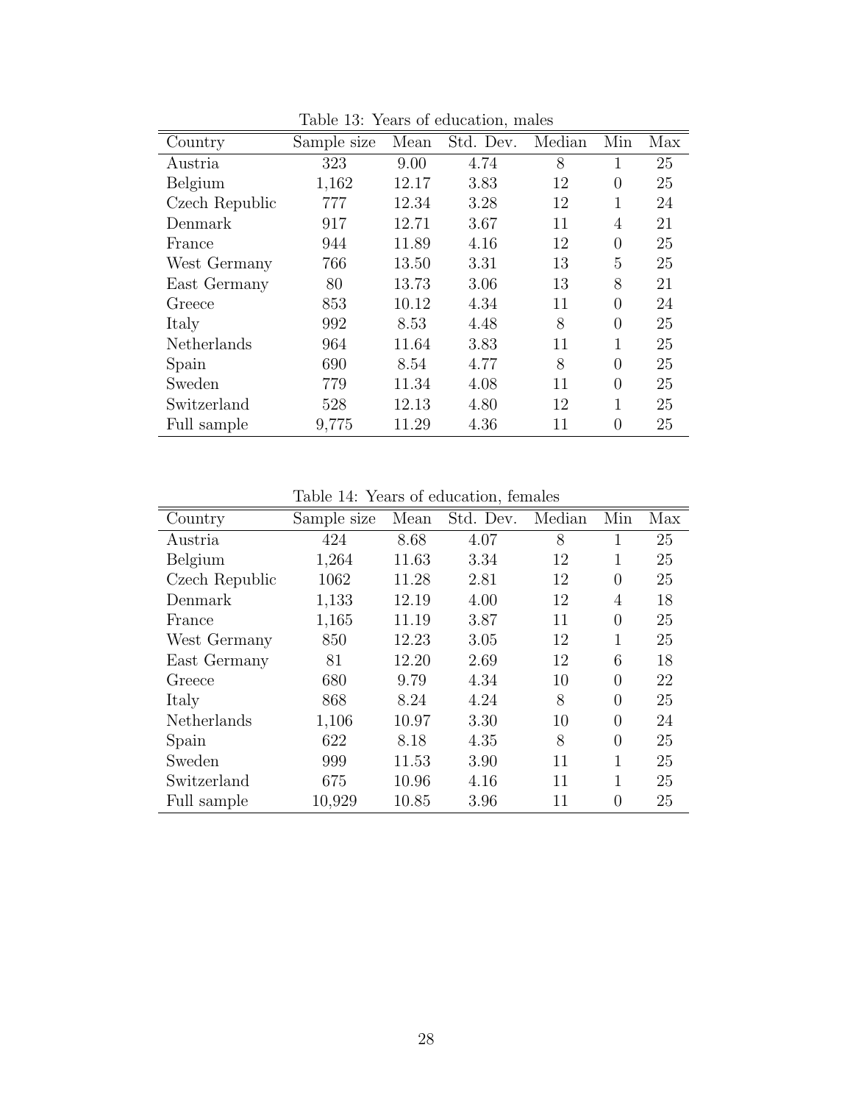| Country        | Sample size | Mean  | Std. Dev. | Median | Min      | Max |
|----------------|-------------|-------|-----------|--------|----------|-----|
| Austria        | 323         | 9.00  | 4.74      | 8      |          | 25  |
| Belgium        | 1,162       | 12.17 | 3.83      | 12     | 0        | 25  |
| Czech Republic | 777         | 12.34 | 3.28      | 12     | 1        | 24  |
| Denmark        | 917         | 12.71 | 3.67      | 11     | 4        | 21  |
| France         | 944         | 11.89 | 4.16      | 12     | $\theta$ | 25  |
| West Germany   | 766         | 13.50 | 3.31      | 13     | 5        | 25  |
| East Germany   | 80          | 13.73 | 3.06      | 13     | 8        | 21  |
| Greece         | 853         | 10.12 | 4.34      | 11     | $\Omega$ | 24  |
| Italy          | 992         | 8.53  | 4.48      | 8      | $\Omega$ | 25  |
| Netherlands    | 964         | 11.64 | 3.83      | 11     | 1        | 25  |
| Spain          | 690         | 8.54  | 4.77      | 8      | $\theta$ | 25  |
| Sweden         | 779         | 11.34 | 4.08      | 11     | $\Omega$ | 25  |
| Switzerland    | 528         | 12.13 | 4.80      | 12     | 1        | 25  |
| Full sample    | 9,775       | 11.29 | 4.36      | 11     | $\Omega$ | 25  |

<span id="page-29-0"></span>Table 13: Years of education, males

<span id="page-29-1"></span>Table 14: Years of education, females

| Country        | Sample size | Mean  | Std. Dev. | Median | Min      | Max |
|----------------|-------------|-------|-----------|--------|----------|-----|
| Austria        | 424         | 8.68  | 4.07      | 8      |          | 25  |
| Belgium        | 1,264       | 11.63 | 3.34      | 12     |          | 25  |
| Czech Republic | 1062        | 11.28 | 2.81      | 12     | $\theta$ | 25  |
| Denmark        | 1,133       | 12.19 | 4.00      | 12     | 4        | 18  |
| France         | 1,165       | 11.19 | 3.87      | 11     | $\theta$ | 25  |
| West Germany   | 850         | 12.23 | 3.05      | 12     |          | 25  |
| East Germany   | 81          | 12.20 | 2.69      | 12     | 6        | 18  |
| Greece         | 680         | 9.79  | 4.34      | 10     | $\Omega$ | 22  |
| Italy          | 868         | 8.24  | 4.24      | 8      | $\theta$ | 25  |
| Netherlands    | 1,106       | 10.97 | 3.30      | 10     | $\Omega$ | 24  |
| Spain          | 622         | 8.18  | 4.35      | 8      | $\theta$ | 25  |
| Sweden         | 999         | 11.53 | 3.90      | 11     |          | 25  |
| Switzerland    | 675         | 10.96 | 4.16      | 11     | 1        | 25  |
| Full sample    | 10,929      | 10.85 | 3.96      | 11     | $\Omega$ | 25  |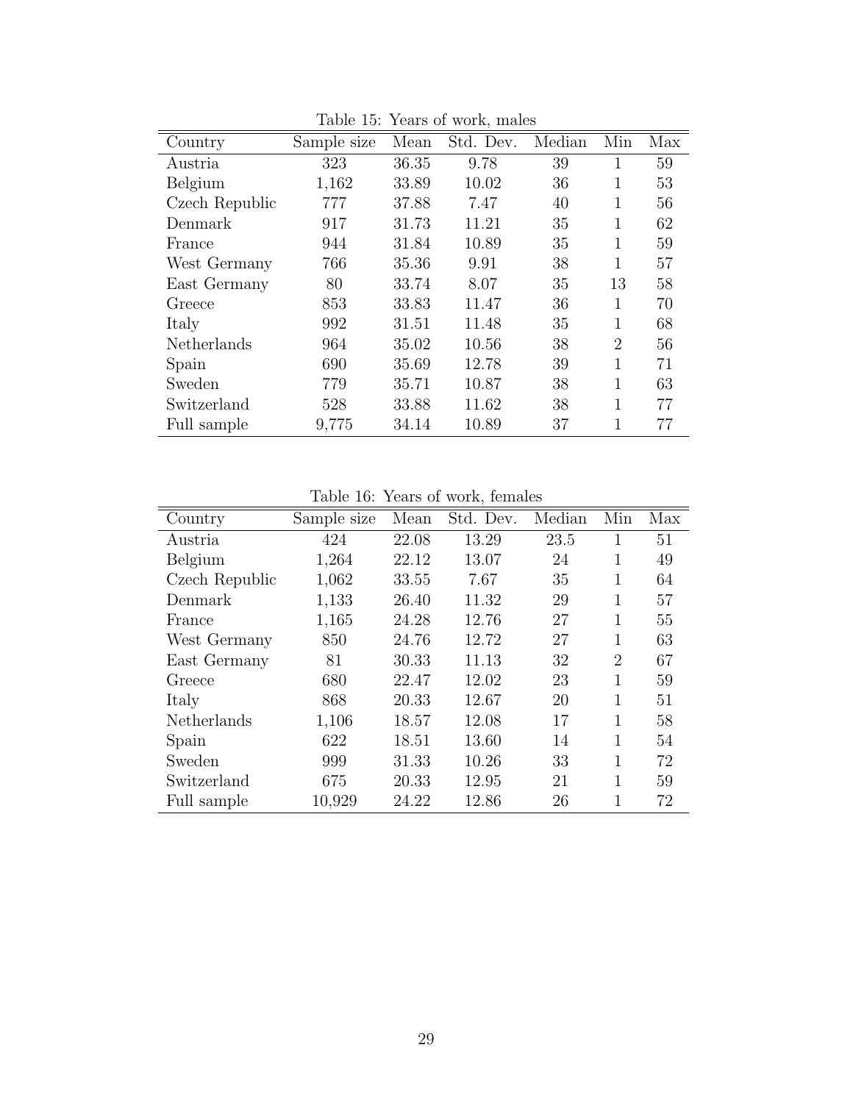| Country        | Sample size | Mean  | Std. Dev. | Median | Min            | Max |
|----------------|-------------|-------|-----------|--------|----------------|-----|
| Austria        | 323         | 36.35 | 9.78      | 39     |                | 59  |
| Belgium        | 1,162       | 33.89 | 10.02     | 36     | 1              | 53  |
| Czech Republic | 777         | 37.88 | 7.47      | 40     | 1              | 56  |
| Denmark        | 917         | 31.73 | 11.21     | 35     | 1              | 62  |
| France         | 944         | 31.84 | 10.89     | 35     | 1              | 59  |
| West Germany   | 766         | 35.36 | 9.91      | 38     | 1              | 57  |
| East Germany   | 80          | 33.74 | 8.07      | 35     | 13             | 58  |
| Greece         | 853         | 33.83 | 11.47     | 36     | 1              | 70  |
| Italy          | 992         | 31.51 | 11.48     | 35     | 1              | 68  |
| Netherlands    | 964         | 35.02 | 10.56     | 38     | $\overline{2}$ | 56  |
| Spain          | 690         | 35.69 | 12.78     | 39     | 1              | 71  |
| Sweden         | 779         | 35.71 | 10.87     | 38     | 1              | 63  |
| Switzerland    | 528         | 33.88 | 11.62     | 38     | 1              | 77  |
| Full sample    | 9,775       | 34.14 | 10.89     | 37     | 1              | 77  |

<span id="page-30-0"></span>Table 15: Years of work, males

<span id="page-30-1"></span>Table 16: Years of work, females

|                | ranic ro.   |       | <b>TOGES</b> OF WOLK, IGHIGICS |        |                |     |
|----------------|-------------|-------|--------------------------------|--------|----------------|-----|
| Country        | Sample size | Mean  | Std. Dev.                      | Median | Min            | Max |
| Austria        | 424         | 22.08 | 13.29                          | 23.5   |                | 51  |
| Belgium        | 1,264       | 22.12 | 13.07                          | 24     | 1              | 49  |
| Czech Republic | 1,062       | 33.55 | 7.67                           | 35     | 1              | 64  |
| Denmark        | 1,133       | 26.40 | 11.32                          | 29     | 1              | 57  |
| France         | 1,165       | 24.28 | 12.76                          | 27     | $\mathbf{1}$   | 55  |
| West Germany   | 850         | 24.76 | 12.72                          | 27     | 1              | 63  |
| East Germany   | 81          | 30.33 | 11.13                          | 32     | $\overline{2}$ | 67  |
| Greece         | 680         | 22.47 | 12.02                          | 23     | 1              | 59  |
| Italy          | 868         | 20.33 | 12.67                          | 20     |                | 51  |
| Netherlands    | 1,106       | 18.57 | 12.08                          | 17     | 1              | 58  |
| Spain          | 622         | 18.51 | 13.60                          | 14     | 1              | 54  |
| Sweden         | 999         | 31.33 | 10.26                          | 33     | $\mathbf{1}$   | 72  |
| Switzerland    | 675         | 20.33 | 12.95                          | 21     | 1              | 59  |
| Full sample    | 10,929      | 24.22 | 12.86                          | 26     |                | 72  |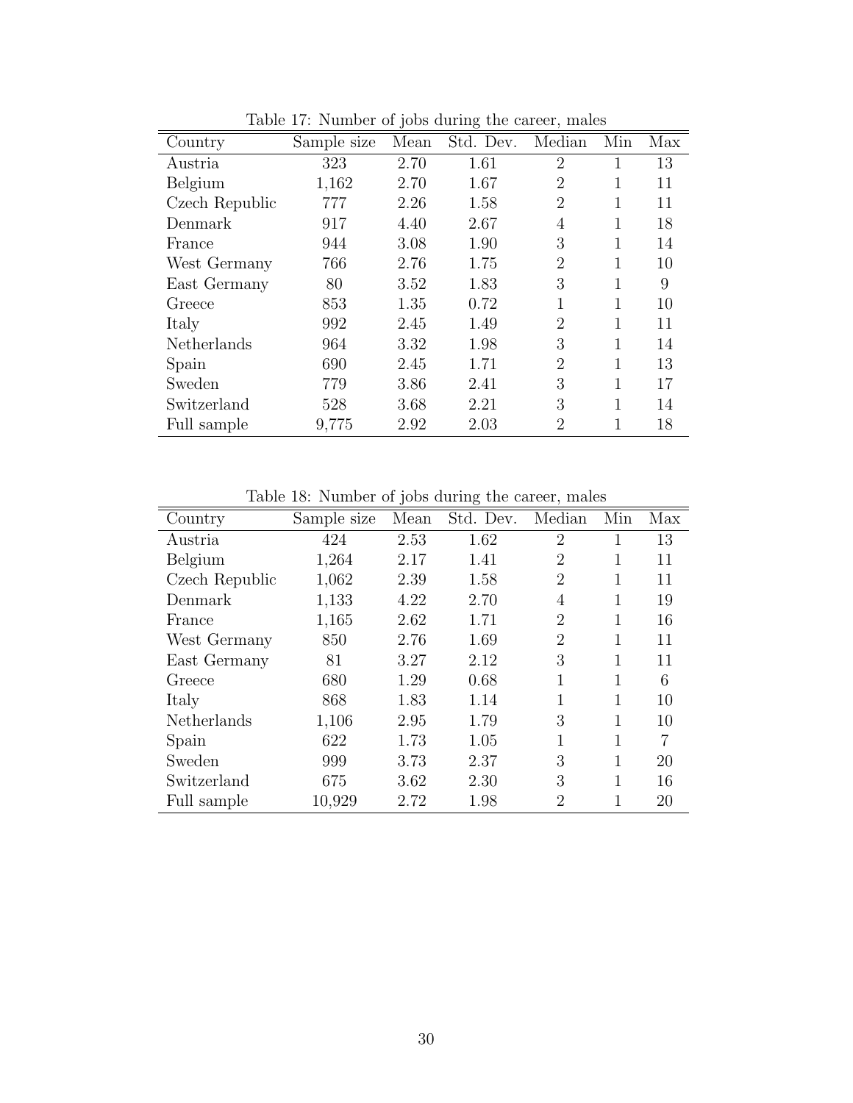|                |             | $\cdot$ | $\check{ }$ |                |     |     |
|----------------|-------------|---------|-------------|----------------|-----|-----|
| Country        | Sample size | Mean    | Std. Dev.   | Median         | Min | Max |
| Austria        | 323         | 2.70    | 1.61        | $\overline{2}$ |     | 13  |
| Belgium        | 1,162       | 2.70    | 1.67        | $\overline{2}$ | 1   | 11  |
| Czech Republic | 777         | 2.26    | 1.58        | $\overline{2}$ |     | 11  |
| Denmark        | 917         | 4.40    | 2.67        | 4              | 1   | 18  |
| France         | 944         | 3.08    | 1.90        | 3              | 1   | 14  |
| West Germany   | 766         | 2.76    | 1.75        | $\overline{2}$ | 1   | 10  |
| East Germany   | 80          | 3.52    | 1.83        | 3              | 1   | 9   |
| Greece         | 853         | 1.35    | 0.72        | 1              | 1   | 10  |
| Italy          | 992         | 2.45    | 1.49        | $\overline{2}$ | 1   | 11  |
| Netherlands    | 964         | 3.32    | 1.98        | 3              | 1   | 14  |
| Spain          | 690         | 2.45    | 1.71        | $\overline{2}$ | 1   | 13  |
| Sweden         | 779         | 3.86    | 2.41        | 3              | 1   | 17  |
| Switzerland    | 528         | 3.68    | 2.21        | 3              | 1   | 14  |
| Full sample    | 9,775       | 2.92    | 2.03        | $\overline{2}$ | 1   | 18  |

<span id="page-31-0"></span>Table 17: Number of jobs during the career, males

<span id="page-31-1"></span>Table 18: Number of jobs during the career, males

|                |             | $\cdot$ | $\check{ }$ |                |     |     |
|----------------|-------------|---------|-------------|----------------|-----|-----|
| Country        | Sample size | Mean    | Std. Dev.   | Median         | Min | Max |
| Austria        | 424         | 2.53    | 1.62        | $\overline{2}$ |     | 13  |
| Belgium        | 1,264       | 2.17    | 1.41        | $\overline{2}$ | 1   | 11  |
| Czech Republic | 1,062       | 2.39    | 1.58        | $\overline{2}$ |     | 11  |
| Denmark        | 1,133       | 4.22    | 2.70        | 4              | 1   | 19  |
| France         | 1,165       | 2.62    | 1.71        | $\overline{2}$ |     | 16  |
| West Germany   | 850         | 2.76    | 1.69        | $\overline{2}$ | 1   | 11  |
| East Germany   | 81          | 3.27    | 2.12        | 3              | 1   | 11  |
| Greece         | 680         | 1.29    | 0.68        | 1              | 1   | 6   |
| Italy          | 868         | 1.83    | 1.14        | 1              | 1   | 10  |
| Netherlands    | 1,106       | 2.95    | 1.79        | 3              | 1   | 10  |
| Spain          | 622         | 1.73    | 1.05        | 1              | 1   | 7   |
| Sweden         | 999         | 3.73    | 2.37        | 3              |     | 20  |
| Switzerland    | 675         | 3.62    | 2.30        | 3              | 1   | 16  |
| Full sample    | 10,929      | 2.72    | 1.98        | $\overline{2}$ |     | 20  |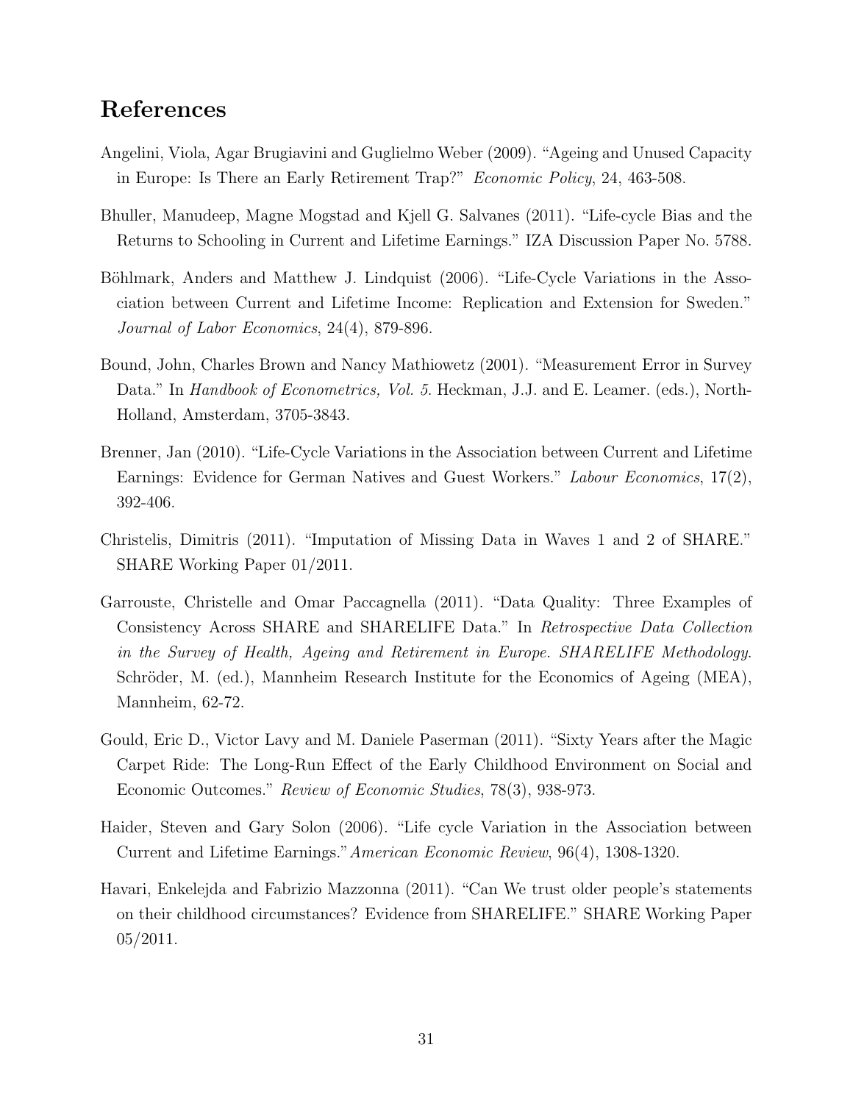## References

- <span id="page-32-9"></span>Angelini, Viola, Agar Brugiavini and Guglielmo Weber (2009). "Ageing and Unused Capacity in Europe: Is There an Early Retirement Trap?" Economic Policy, 24, 463-508.
- <span id="page-32-1"></span>Bhuller, Manudeep, Magne Mogstad and Kjell G. Salvanes (2011). "Life-cycle Bias and the Returns to Schooling in Current and Lifetime Earnings." IZA Discussion Paper No. 5788.
- <span id="page-32-2"></span>Böhlmark, Anders and Matthew J. Lindquist (2006). "Life-Cycle Variations in the Association between Current and Lifetime Income: Replication and Extension for Sweden." Journal of Labor Economics, 24(4), 879-896.
- <span id="page-32-6"></span>Bound, John, Charles Brown and Nancy Mathiowetz (2001). "Measurement Error in Survey Data." In *Handbook of Econometrics, Vol. 5.* Heckman, J.J. and E. Leamer. (eds.), North-Holland, Amsterdam, 3705-3843.
- <span id="page-32-3"></span>Brenner, Jan (2010). "Life-Cycle Variations in the Association between Current and Lifetime Earnings: Evidence for German Natives and Guest Workers." Labour Economics, 17(2), 392-406.
- <span id="page-32-8"></span>Christelis, Dimitris (2011). "Imputation of Missing Data in Waves 1 and 2 of SHARE." SHARE Working Paper 01/2011.
- <span id="page-32-5"></span>Garrouste, Christelle and Omar Paccagnella (2011). "Data Quality: Three Examples of Consistency Across SHARE and SHARELIFE Data." In Retrospective Data Collection in the Survey of Health, Ageing and Retirement in Europe. SHARELIFE Methodology. Schröder, M. (ed.), Mannheim Research Institute for the Economics of Ageing (MEA), Mannheim, 62-72.
- <span id="page-32-7"></span>Gould, Eric D., Victor Lavy and M. Daniele Paserman (2011). "Sixty Years after the Magic Carpet Ride: The Long-Run Effect of the Early Childhood Environment on Social and Economic Outcomes." Review of Economic Studies, 78(3), 938-973.
- <span id="page-32-0"></span>Haider, Steven and Gary Solon (2006). "Life cycle Variation in the Association between Current and Lifetime Earnings."American Economic Review, 96(4), 1308-1320.
- <span id="page-32-4"></span>Havari, Enkelejda and Fabrizio Mazzonna (2011). "Can We trust older people's statements on their childhood circumstances? Evidence from SHARELIFE." SHARE Working Paper 05/2011.